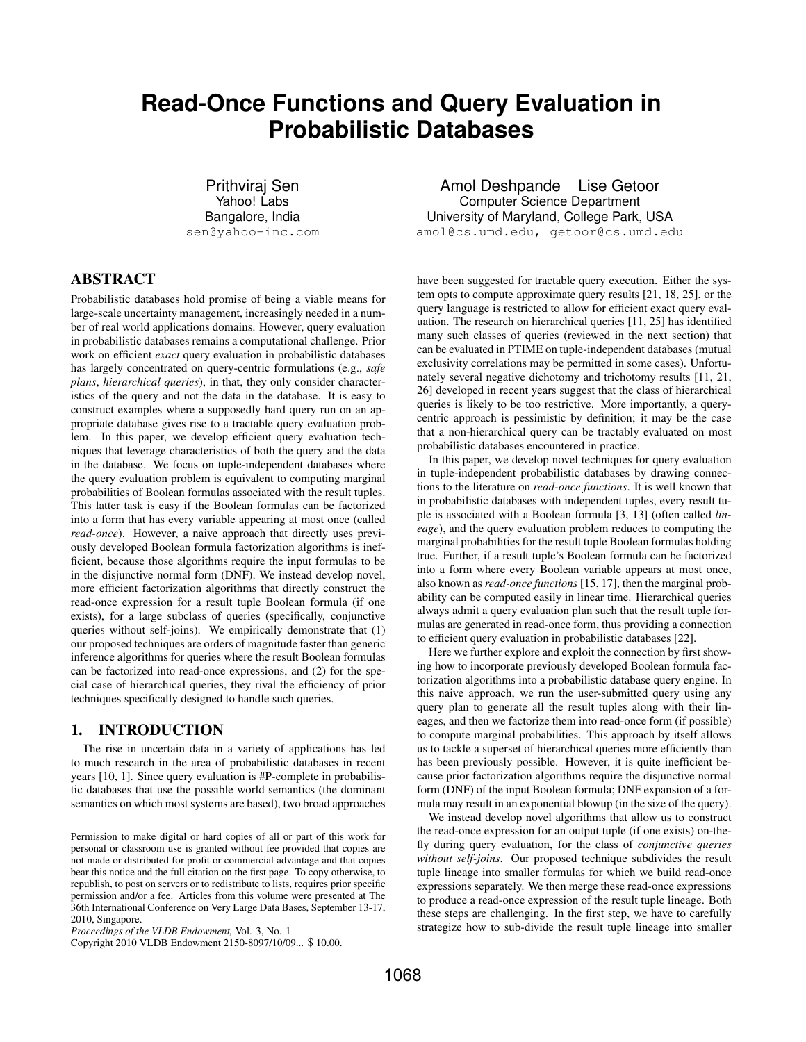# **Read-Once Functions and Query Evaluation in Probabilistic Databases**

Prithviraj Sen Yahoo! Labs Bangalore, India sen@yahoo-inc.com

# ABSTRACT

Probabilistic databases hold promise of being a viable means for large-scale uncertainty management, increasingly needed in a number of real world applications domains. However, query evaluation in probabilistic databases remains a computational challenge. Prior work on efficient *exact* query evaluation in probabilistic databases has largely concentrated on query-centric formulations (e.g., *safe plans*, *hierarchical queries*), in that, they only consider characteristics of the query and not the data in the database. It is easy to construct examples where a supposedly hard query run on an appropriate database gives rise to a tractable query evaluation problem. In this paper, we develop efficient query evaluation techniques that leverage characteristics of both the query and the data in the database. We focus on tuple-independent databases where the query evaluation problem is equivalent to computing marginal probabilities of Boolean formulas associated with the result tuples. This latter task is easy if the Boolean formulas can be factorized into a form that has every variable appearing at most once (called *read-once*). However, a naive approach that directly uses previously developed Boolean formula factorization algorithms is inefficient, because those algorithms require the input formulas to be in the disjunctive normal form (DNF). We instead develop novel, more efficient factorization algorithms that directly construct the read-once expression for a result tuple Boolean formula (if one exists), for a large subclass of queries (specifically, conjunctive queries without self-joins). We empirically demonstrate that (1) our proposed techniques are orders of magnitude faster than generic inference algorithms for queries where the result Boolean formulas can be factorized into read-once expressions, and (2) for the special case of hierarchical queries, they rival the efficiency of prior techniques specifically designed to handle such queries.

## 1. INTRODUCTION

The rise in uncertain data in a variety of applications has led to much research in the area of probabilistic databases in recent years [10, 1]. Since query evaluation is #P-complete in probabilistic databases that use the possible world semantics (the dominant semantics on which most systems are based), two broad approaches

Copyright 2010 VLDB Endowment 2150-8097/10/09... \$ 10.00.

Amol Deshpande Lise Getoor Computer Science Department University of Maryland, College Park, USA amol@cs.umd.edu, getoor@cs.umd.edu

have been suggested for tractable query execution. Either the system opts to compute approximate query results [21, 18, 25], or the query language is restricted to allow for efficient exact query evaluation. The research on hierarchical queries [11, 25] has identified many such classes of queries (reviewed in the next section) that can be evaluated in PTIME on tuple-independent databases (mutual exclusivity correlations may be permitted in some cases). Unfortunately several negative dichotomy and trichotomy results [11, 21, 26] developed in recent years suggest that the class of hierarchical queries is likely to be too restrictive. More importantly, a querycentric approach is pessimistic by definition; it may be the case that a non-hierarchical query can be tractably evaluated on most probabilistic databases encountered in practice.

In this paper, we develop novel techniques for query evaluation in tuple-independent probabilistic databases by drawing connections to the literature on *read-once functions*. It is well known that in probabilistic databases with independent tuples, every result tuple is associated with a Boolean formula [3, 13] (often called *lineage*), and the query evaluation problem reduces to computing the marginal probabilities for the result tuple Boolean formulas holding true. Further, if a result tuple's Boolean formula can be factorized into a form where every Boolean variable appears at most once, also known as *read-once functions* [15, 17], then the marginal probability can be computed easily in linear time. Hierarchical queries always admit a query evaluation plan such that the result tuple formulas are generated in read-once form, thus providing a connection to efficient query evaluation in probabilistic databases [22].

Here we further explore and exploit the connection by first showing how to incorporate previously developed Boolean formula factorization algorithms into a probabilistic database query engine. In this naive approach, we run the user-submitted query using any query plan to generate all the result tuples along with their lineages, and then we factorize them into read-once form (if possible) to compute marginal probabilities. This approach by itself allows us to tackle a superset of hierarchical queries more efficiently than has been previously possible. However, it is quite inefficient because prior factorization algorithms require the disjunctive normal form (DNF) of the input Boolean formula; DNF expansion of a formula may result in an exponential blowup (in the size of the query).

We instead develop novel algorithms that allow us to construct the read-once expression for an output tuple (if one exists) on-thefly during query evaluation, for the class of *conjunctive queries without self-joins*. Our proposed technique subdivides the result tuple lineage into smaller formulas for which we build read-once expressions separately. We then merge these read-once expressions to produce a read-once expression of the result tuple lineage. Both these steps are challenging. In the first step, we have to carefully strategize how to sub-divide the result tuple lineage into smaller

Permission to make digital or hard copies of all or part of this work for personal or classroom use is granted without fee provided that copies are not made or distributed for profit or commercial advantage and that copies bear this notice and the full citation on the first page. To copy otherwise, to republish, to post on servers or to redistribute to lists, requires prior specific permission and/or a fee. Articles from this volume were presented at The 36th International Conference on Very Large Data Bases, September 13-17, 2010, Singapore.

*Proceedings of the VLDB Endowment,* Vol. 3, No. 1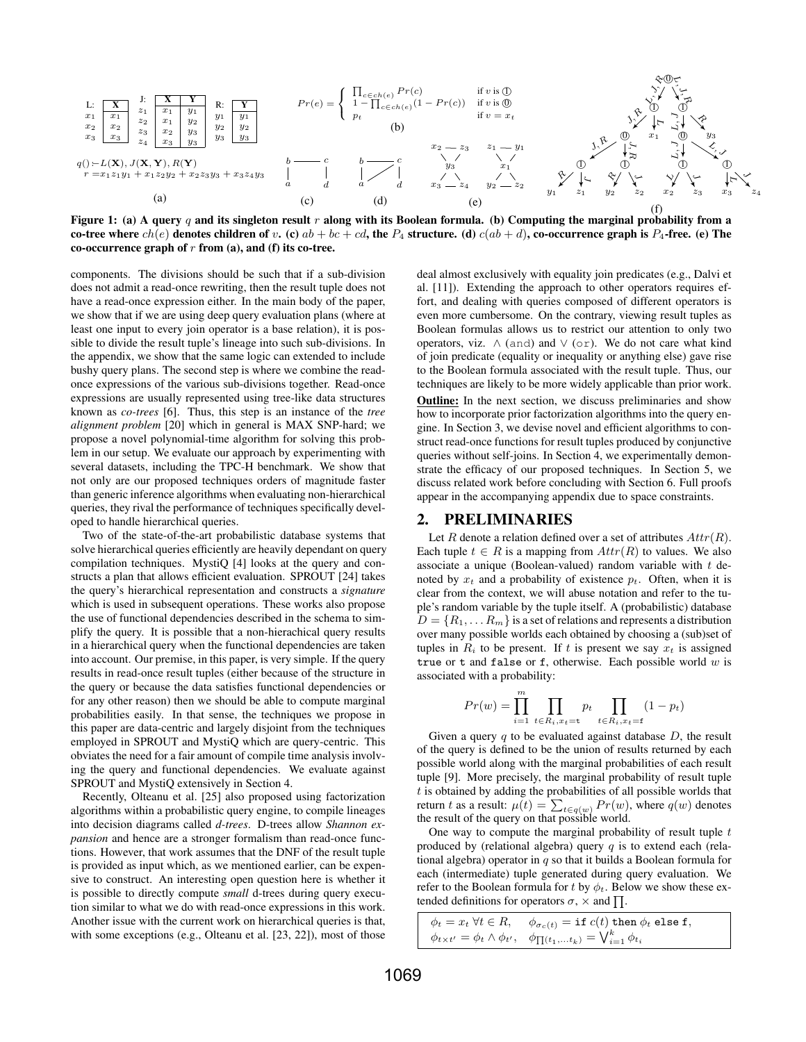

Figure 1: (a) A query q and its singleton result r along with its Boolean formula. (b) Computing the marginal probability from a co-tree where  $ch(e)$  denotes children of v. (c)  $ab + bc + cd$ , the  $P_4$  structure. (d)  $c(ab + d)$ , co-occurrence graph is  $P_4$ -free. (e) The co-occurrence graph of  $r$  from (a), and (f) its co-tree.

components. The divisions should be such that if a sub-division does not admit a read-once rewriting, then the result tuple does not have a read-once expression either. In the main body of the paper, we show that if we are using deep query evaluation plans (where at least one input to every join operator is a base relation), it is possible to divide the result tuple's lineage into such sub-divisions. In the appendix, we show that the same logic can extended to include bushy query plans. The second step is where we combine the readonce expressions of the various sub-divisions together. Read-once expressions are usually represented using tree-like data structures known as *co-trees* [6]. Thus, this step is an instance of the *tree alignment problem* [20] which in general is MAX SNP-hard; we propose a novel polynomial-time algorithm for solving this problem in our setup. We evaluate our approach by experimenting with several datasets, including the TPC-H benchmark. We show that not only are our proposed techniques orders of magnitude faster than generic inference algorithms when evaluating non-hierarchical queries, they rival the performance of techniques specifically developed to handle hierarchical queries.

Two of the state-of-the-art probabilistic database systems that solve hierarchical queries efficiently are heavily dependant on query compilation techniques. MystiQ [4] looks at the query and constructs a plan that allows efficient evaluation. SPROUT [24] takes the query's hierarchical representation and constructs a *signature* which is used in subsequent operations. These works also propose the use of functional dependencies described in the schema to simplify the query. It is possible that a non-hierachical query results in a hierarchical query when the functional dependencies are taken into account. Our premise, in this paper, is very simple. If the query results in read-once result tuples (either because of the structure in the query or because the data satisfies functional dependencies or for any other reason) then we should be able to compute marginal probabilities easily. In that sense, the techniques we propose in this paper are data-centric and largely disjoint from the techniques employed in SPROUT and MystiQ which are query-centric. This obviates the need for a fair amount of compile time analysis involving the query and functional dependencies. We evaluate against SPROUT and MystiQ extensively in Section 4.

Recently, Olteanu et al. [25] also proposed using factorization algorithms within a probabilistic query engine, to compile lineages into decision diagrams called *d-trees*. D-trees allow *Shannon expansion* and hence are a stronger formalism than read-once functions. However, that work assumes that the DNF of the result tuple is provided as input which, as we mentioned earlier, can be expensive to construct. An interesting open question here is whether it is possible to directly compute *small* d-trees during query execution similar to what we do with read-once expressions in this work. Another issue with the current work on hierarchical queries is that, with some exceptions (e.g., Olteanu et al. [23, 22]), most of those

deal almost exclusively with equality join predicates (e.g., Dalvi et al. [11]). Extending the approach to other operators requires effort, and dealing with queries composed of different operators is even more cumbersome. On the contrary, viewing result tuples as Boolean formulas allows us to restrict our attention to only two operators, viz.  $\land$  (and) and  $\lor$  (or). We do not care what kind of join predicate (equality or inequality or anything else) gave rise to the Boolean formula associated with the result tuple. Thus, our techniques are likely to be more widely applicable than prior work.

Outline: In the next section, we discuss preliminaries and show how to incorporate prior factorization algorithms into the query engine. In Section 3, we devise novel and efficient algorithms to construct read-once functions for result tuples produced by conjunctive queries without self-joins. In Section 4, we experimentally demonstrate the efficacy of our proposed techniques. In Section 5, we discuss related work before concluding with Section 6. Full proofs appear in the accompanying appendix due to space constraints.

#### 2. PRELIMINARIES

Let R denote a relation defined over a set of attributes  $Attr(R)$ . Each tuple  $t \in R$  is a mapping from  $Attr(R)$  to values. We also associate a unique (Boolean-valued) random variable with  $t$  denoted by  $x_t$  and a probability of existence  $p_t$ . Often, when it is clear from the context, we will abuse notation and refer to the tuple's random variable by the tuple itself. A (probabilistic) database  $D = \{R_1, \ldots R_m\}$  is a set of relations and represents a distribution over many possible worlds each obtained by choosing a (sub)set of tuples in  $R_i$  to be present. If t is present we say  $x_t$  is assigned true or t and false or f, otherwise. Each possible world  $w$  is associated with a probability:

$$
Pr(w) = \prod_{i=1}^{m} \prod_{t \in R_i, x_t = t} p_t \prod_{t \in R_i, x_t = t} (1 - p_t)
$$

Given a query  $q$  to be evaluated against database  $D$ , the result of the query is defined to be the union of results returned by each possible world along with the marginal probabilities of each result tuple [9]. More precisely, the marginal probability of result tuple t is obtained by adding the probabilities of all possible worlds that return t as a result:  $\mu(t) = \sum_{t \in q(w)} Pr(w)$ , where  $q(w)$  denotes the result of the query on that possible world.

One way to compute the marginal probability of result tuple  $t$ produced by (relational algebra) query  $q$  is to extend each (relational algebra) operator in  $q$  so that it builds a Boolean formula for each (intermediate) tuple generated during query evaluation. We refer to the Boolean formula for t by  $\phi_t$ . Below we show these extended definitions for operators  $\sigma$ ,  $\times$  and  $\prod$ .

| $\phi_t = x_t \ \forall t \in R, \quad \phi_{\sigma_c(t)} = \text{if} \ c(t) \ \text{then} \ \phi_t \ \text{else f},$ |
|-----------------------------------------------------------------------------------------------------------------------|
| $\phi_{t \times t'} = \phi_t \wedge \phi_{t'}, \quad \phi_{\prod(t_1, \ldots t_k)} = \bigvee_{i=1}^k \phi_{t_i}$      |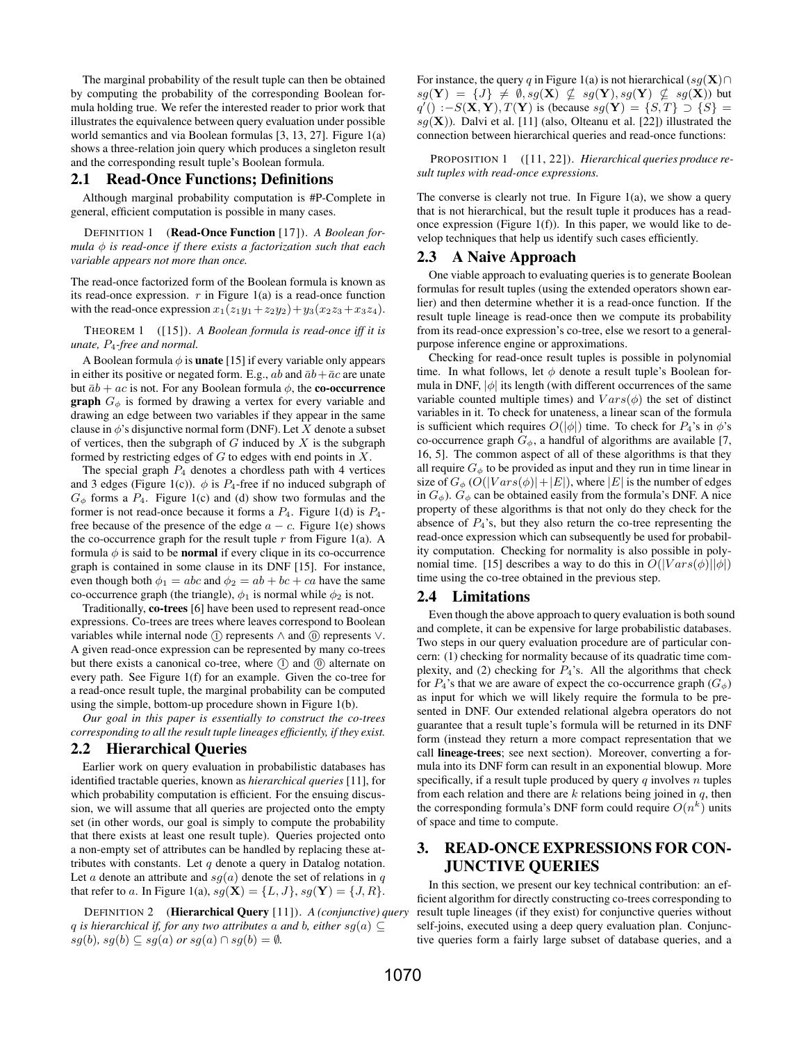The marginal probability of the result tuple can then be obtained by computing the probability of the corresponding Boolean formula holding true. We refer the interested reader to prior work that illustrates the equivalence between query evaluation under possible world semantics and via Boolean formulas [3, 13, 27]. Figure 1(a) shows a three-relation join query which produces a singleton result and the corresponding result tuple's Boolean formula.

#### 2.1 Read-Once Functions; Definitions

Although marginal probability computation is #P-Complete in general, efficient computation is possible in many cases.

DEFINITION 1 (Read-Once Function [17]). *A Boolean formula* φ *is read-once if there exists a factorization such that each variable appears not more than once.*

The read-once factorized form of the Boolean formula is known as its read-once expression.  $r$  in Figure 1(a) is a read-once function with the read-once expression  $x_1(z_1y_1+z_2y_2)+y_3(x_2z_3+x_3z_4)$ .

THEOREM 1 ([15]). *A Boolean formula is read-once iff it is unate,* P4*-free and normal.*

A Boolean formula  $\phi$  is **unate** [15] if every variable only appears in either its positive or negated form. E.g., ab and  $\bar{a}b + \bar{a}c$  are unate but  $\bar{a}b + ac$  is not. For any Boolean formula  $\phi$ , the **co-occurrence graph**  $G_{\phi}$  is formed by drawing a vertex for every variable and drawing an edge between two variables if they appear in the same clause in  $\phi$ 's disjunctive normal form (DNF). Let X denote a subset of vertices, then the subgraph of  $G$  induced by  $X$  is the subgraph formed by restricting edges of  $G$  to edges with end points in  $X$ .

The special graph  $P_4$  denotes a chordless path with 4 vertices and 3 edges (Figure 1(c)).  $\phi$  is  $P_4$ -free if no induced subgraph of  $G_{\phi}$  forms a  $P_4$ . Figure 1(c) and (d) show two formulas and the former is not read-once because it forms a  $P_4$ . Figure 1(d) is  $P_4$ free because of the presence of the edge  $a - c$ . Figure 1(e) shows the co-occurrence graph for the result tuple  $r$  from Figure 1(a). A formula  $\phi$  is said to be **normal** if every clique in its co-occurrence graph is contained in some clause in its DNF [15]. For instance, even though both  $\phi_1 = abc$  and  $\phi_2 = ab + bc + ca$  have the same co-occurrence graph (the triangle),  $\phi_1$  is normal while  $\phi_2$  is not.

Traditionally, co-trees [6] have been used to represent read-once expressions. Co-trees are trees where leaves correspond to Boolean variables while internal node  $(1)$  represents  $\wedge$  and  $(0)$  represents  $\vee$ . A given read-once expression can be represented by many co-trees but there exists a canonical co-tree, where  $(1)$  and  $(0)$  alternate on every path. See Figure 1(f) for an example. Given the co-tree for a read-once result tuple, the marginal probability can be computed using the simple, bottom-up procedure shown in Figure 1(b).

*Our goal in this paper is essentially to construct the co-trees corresponding to all the result tuple lineages efficiently, if they exist.*

## 2.2 Hierarchical Queries

Earlier work on query evaluation in probabilistic databases has identified tractable queries, known as *hierarchical queries* [11], for which probability computation is efficient. For the ensuing discussion, we will assume that all queries are projected onto the empty set (in other words, our goal is simply to compute the probability that there exists at least one result tuple). Queries projected onto a non-empty set of attributes can be handled by replacing these attributes with constants. Let  $q$  denote a query in Datalog notation. Let a denote an attribute and  $sq(a)$  denote the set of relations in q that refer to a. In Figure 1(a),  $sg(\mathbf{X}) = \{L, J\}$ ,  $sg(\mathbf{Y}) = \{J, R\}$ .

DEFINITION 2 (Hierarchical Query [11]). *A (conjunctive) query* q *is hierarchical if, for any two attributes* a *and* b, either  $sq(a) \subseteq$  $sg(b)$ *,*  $sg(b) \subseteq sg(a)$  *or*  $sg(a) \cap sg(b) = \emptyset$ *.* 

For instance, the query q in Figure 1(a) is not hierarchical (sq(X)∩  $sg(\mathbf{Y}) = \{J\} \neq \emptyset, sg(\mathbf{X}) \nsubseteq sg(\mathbf{Y}), sg(\mathbf{Y}) \nsubseteq sg(\mathbf{X}))$  but  $q'() := S(\mathbf{X}, \mathbf{Y}), T(\mathbf{Y})$  is (because  $sg(\mathbf{Y}) = \{S, T\} \supset \{S\}$  $sq(\mathbf{X})$ ). Dalvi et al. [11] (also, Olteanu et al. [22]) illustrated the connection between hierarchical queries and read-once functions:

PROPOSITION 1 ([11, 22]). *Hierarchical queries produce result tuples with read-once expressions.*

The converse is clearly not true. In Figure  $1(a)$ , we show a query that is not hierarchical, but the result tuple it produces has a readonce expression (Figure 1(f)). In this paper, we would like to develop techniques that help us identify such cases efficiently.

## 2.3 A Naive Approach

One viable approach to evaluating queries is to generate Boolean formulas for result tuples (using the extended operators shown earlier) and then determine whether it is a read-once function. If the result tuple lineage is read-once then we compute its probability from its read-once expression's co-tree, else we resort to a generalpurpose inference engine or approximations.

Checking for read-once result tuples is possible in polynomial time. In what follows, let  $\phi$  denote a result tuple's Boolean formula in DNF,  $|\phi|$  its length (with different occurrences of the same variable counted multiple times) and  $Vars(\phi)$  the set of distinct variables in it. To check for unateness, a linear scan of the formula is sufficient which requires  $O(|\phi|)$  time. To check for  $P_4$ 's in  $\phi$ 's co-occurrence graph  $G_{\phi}$ , a handful of algorithms are available [7, 16, 5]. The common aspect of all of these algorithms is that they all require  $G_{\phi}$  to be provided as input and they run in time linear in size of  $G_{\phi}$  (O(|Vars( $\phi$ )|+|E|), where |E| is the number of edges in  $G_{\phi}$ ).  $G_{\phi}$  can be obtained easily from the formula's DNF. A nice property of these algorithms is that not only do they check for the absence of  $P_4$ 's, but they also return the co-tree representing the read-once expression which can subsequently be used for probability computation. Checking for normality is also possible in polynomial time. [15] describes a way to do this in  $O(|Vars(\phi)||\phi|)$ time using the co-tree obtained in the previous step.

#### 2.4 Limitations

Even though the above approach to query evaluation is both sound and complete, it can be expensive for large probabilistic databases. Two steps in our query evaluation procedure are of particular concern: (1) checking for normality because of its quadratic time complexity, and (2) checking for  $P_4$ 's. All the algorithms that check for  $P_4$ 's that we are aware of expect the co-occurrence graph  $(G_{\phi})$ as input for which we will likely require the formula to be presented in DNF. Our extended relational algebra operators do not guarantee that a result tuple's formula will be returned in its DNF form (instead they return a more compact representation that we call lineage-trees; see next section). Moreover, converting a formula into its DNF form can result in an exponential blowup. More specifically, if a result tuple produced by query  $q$  involves  $n$  tuples from each relation and there are  $k$  relations being joined in  $q$ , then the corresponding formula's DNF form could require  $O(n^k)$  units of space and time to compute.

# 3. READ-ONCE EXPRESSIONS FOR CON-JUNCTIVE QUERIES

In this section, we present our key technical contribution: an efficient algorithm for directly constructing co-trees corresponding to result tuple lineages (if they exist) for conjunctive queries without self-joins, executed using a deep query evaluation plan. Conjunctive queries form a fairly large subset of database queries, and a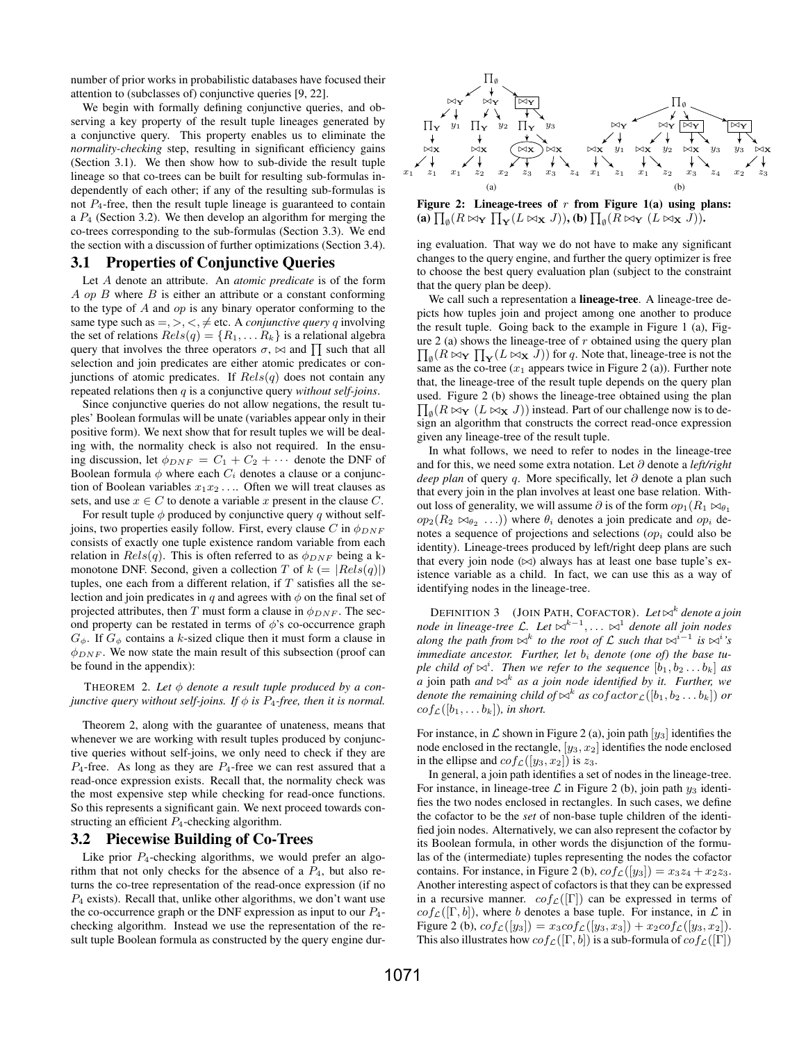number of prior works in probabilistic databases have focused their attention to (subclasses of) conjunctive queries [9, 22].

We begin with formally defining conjunctive queries, and observing a key property of the result tuple lineages generated by a conjunctive query. This property enables us to eliminate the *normality-checking* step, resulting in significant efficiency gains (Section 3.1). We then show how to sub-divide the result tuple lineage so that co-trees can be built for resulting sub-formulas independently of each other; if any of the resulting sub-formulas is not  $P_4$ -free, then the result tuple lineage is guaranteed to contain a  $P_4$  (Section 3.2). We then develop an algorithm for merging the co-trees corresponding to the sub-formulas (Section 3.3). We end the section with a discussion of further optimizations (Section 3.4).

#### 3.1 Properties of Conjunctive Queries

Let A denote an attribute. An *atomic predicate* is of the form A op B where  $B$  is either an attribute or a constant conforming to the type of  $A$  and  $op$  is any binary operator conforming to the same type such as  $=,>,<,\neq$  etc. A *conjunctive query* q involving the set of relations  $Rels(q) = \{R_1, \ldots R_k\}$  is a relational algebra query that involves the three operators  $\sigma$ ,  $\bowtie$  and  $\prod$  such that all selection and join predicates are either atomic predicates or conjunctions of atomic predicates. If  $Rels(q)$  does not contain any repeated relations then q is a conjunctive query *without self-joins*.

Since conjunctive queries do not allow negations, the result tuples' Boolean formulas will be unate (variables appear only in their positive form). We next show that for result tuples we will be dealing with, the normality check is also not required. In the ensuing discussion, let  $\phi_{DNF} = C_1 + C_2 + \cdots$  denote the DNF of Boolean formula  $\phi$  where each  $C_i$  denotes a clause or a conjunction of Boolean variables  $x_1x_2 \ldots$  Often we will treat clauses as sets, and use  $x \in C$  to denote a variable x present in the clause C.

For result tuple  $\phi$  produced by conjunctive query q without selfjoins, two properties easily follow. First, every clause C in  $\phi_{DNF}$ consists of exactly one tuple existence random variable from each relation in  $Rels(q)$ . This is often referred to as  $\phi_{DNF}$  being a kmonotone DNF. Second, given a collection T of  $k (= |Rels(q)|)$ tuples, one each from a different relation, if  $T$  satisfies all the selection and join predicates in q and agrees with  $\phi$  on the final set of projected attributes, then T must form a clause in  $\phi_{DNF}$ . The second property can be restated in terms of  $\phi$ 's co-occurrence graph  $G_{\phi}$ . If  $G_{\phi}$  contains a k-sized clique then it must form a clause in  $\phi_{DNF}$ . We now state the main result of this subsection (proof can be found in the appendix):

#### THEOREM 2. Let  $\phi$  denote a result tuple produced by a con*junctive query without self-joins. If*  $\phi$  *is*  $P_4$ -free, then *it is normal.*

Theorem 2, along with the guarantee of unateness, means that whenever we are working with result tuples produced by conjunctive queries without self-joins, we only need to check if they are  $P_4$ -free. As long as they are  $P_4$ -free we can rest assured that a read-once expression exists. Recall that, the normality check was the most expensive step while checking for read-once functions. So this represents a significant gain. We next proceed towards constructing an efficient  $P_4$ -checking algorithm.

#### 3.2 Piecewise Building of Co-Trees

Like prior  $P_4$ -checking algorithms, we would prefer an algorithm that not only checks for the absence of a  $P_4$ , but also returns the co-tree representation of the read-once expression (if no  $P_4$  exists). Recall that, unlike other algorithms, we don't want use the co-occurrence graph or the DNF expression as input to our  $P_4$ checking algorithm. Instead we use the representation of the result tuple Boolean formula as constructed by the query engine dur-



Figure 2: Lineage-trees of  $r$  from Figure 1(a) using plans: (a)  $\prod_{\emptyset} (R \bowtie_{\mathbf{Y}} \prod_{\mathbf{Y}} (L \bowtie_{\mathbf{X}} J)),$  (b)  $\prod_{\emptyset} (R \bowtie_{\mathbf{Y}} (L \bowtie_{\mathbf{X}} J)).$ 

ing evaluation. That way we do not have to make any significant changes to the query engine, and further the query optimizer is free to choose the best query evaluation plan (subject to the constraint that the query plan be deep).

We call such a representation a lineage-tree. A lineage-tree depicts how tuples join and project among one another to produce the result tuple. Going back to the example in Figure 1 (a), Figure 2 (a) shows the lineage-tree of  $r$  obtained using the query plan ure 2 (a) shows the lineage-tree of r obtained using the query plan  $\prod_{\emptyset} (R \bowtie_{\mathbf{Y}} \prod_{\mathbf{Y}} (L \bowtie_{\mathbf{X}} J))$  for q. Note that, lineage-tree is not the same as the co-tree  $(x_1)$  appears twice in Figure 2 (a)). Further note that, the lineage-tree of the result tuple depends on the query plan used. Figure 2 (b) shows the lineage-tree obtained using the plan  $\prod_{\emptyset} (R \bowtie_{\mathbf{Y}} (L \bowtie_{\mathbf{X}} J))$  instead. Part of our challenge now is to design an algorithm that constructs the correct read-once expression given any lineage-tree of the result tuple.

In what follows, we need to refer to nodes in the lineage-tree and for this, we need some extra notation. Let ∂ denote a *left/right deep plan* of query q. More specifically, let ∂ denote a plan such that every join in the plan involves at least one base relation. Without loss of generality, we will assume  $\partial$  is of the form  $op_1(R_1 \bowtie_{\theta_1} R_1)$  $op_2(R_2 \bowtie_{\theta_2} ...)$  where  $\theta_i$  denotes a join predicate and  $op_i$  denotes a sequence of projections and selections  $(op<sub>i</sub>$  could also be identity). Lineage-trees produced by left/right deep plans are such that every join node  $(\infty)$  always has at least one base tuple's existence variable as a child. In fact, we can use this as a way of identifying nodes in the lineage-tree.

DEFINITION 3 (JOIN PATH, COFACTOR). Let  $\bowtie^k$  denote a join node in lineage-tree L. Let  $\Join^{k-1}$ , ...  $\Join^1$  denote all join nodes *along the path from*  $\bowtie^k$  *to the root of* L *such that*  $\bowtie^{i-1}$  *is*  $\bowtie^{i}$ '*s immediate ancestor. Further, let*  $b_i$  *denote (one of) the base tu*ple child of  $\bowtie$ <sup>*i*</sup>. Then we refer to the sequence  $[b_1, b_2 \dots b_k]$  as *a* join path *and*  $\bowtie^k$  *as a join node identified by it. Further, we denote the remaining child of*  $\bowtie^k$  *as cof actor*  $_{\mathcal{L}}([b_1, b_2 \dots b_k])$  *or*  $cof_{\mathcal{L}}([b_1, \ldots, b_k]),$  in short.

For instance, in  $\mathcal L$  shown in Figure 2 (a), join path  $[y_3]$  identifies the node enclosed in the rectangle,  $[y_3, x_2]$  identifies the node enclosed in the ellipse and  $cof_{\mathcal{L}}([y_3, x_2])$  is  $z_3$ .

In general, a join path identifies a set of nodes in the lineage-tree. For instance, in lineage-tree  $\mathcal L$  in Figure 2 (b), join path  $y_3$  identifies the two nodes enclosed in rectangles. In such cases, we define the cofactor to be the *set* of non-base tuple children of the identified join nodes. Alternatively, we can also represent the cofactor by its Boolean formula, in other words the disjunction of the formulas of the (intermediate) tuples representing the nodes the cofactor contains. For instance, in Figure 2 (b),  $cof_{\mathcal{L}}([y_3]) = x_3z_4 + x_2z_3$ . Another interesting aspect of cofactors is that they can be expressed in a recursive manner.  $cof_{\mathcal{L}}(|\Gamma|)$  can be expressed in terms of  $cof_{\mathcal{L}}([\Gamma, b]),$  where b denotes a base tuple. For instance, in  $\mathcal{L}$  in Figure 2 (b),  $cof_{\mathcal{L}}([y_3]) = x_3cof_{\mathcal{L}}([y_3, x_3]) + x_2cof_{\mathcal{L}}([y_3, x_2]).$ This also illustrates how  $cof_{\mathcal{L}}([\Gamma, b])$  is a sub-formula of  $cof_{\mathcal{L}}([\Gamma])$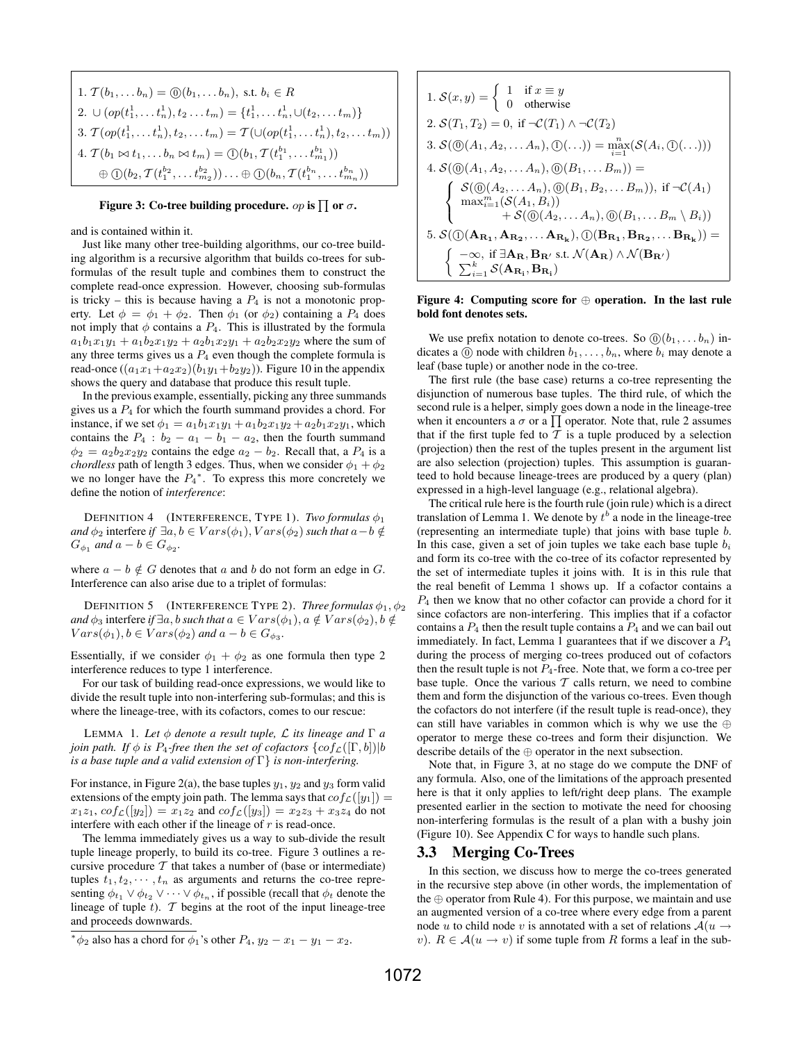1. 
$$
T(b_1,... b_n) = \textcircled{0}(b_1,... b_n)
$$
, s.t.  $b_i \in R$   
\n2.  $\cup$   $(op(t_1^1,... t_n^1), t_2... t_m) = \{t_1^1,... t_n^1, \cup (t_2,... t_m)\}$   
\n3.  $T(op(t_1^1,... t_n^1), t_2,... t_m) = T(\cup (op(t_1^1,... t_n^1), t_2,... t_m))$   
\n4.  $T(b_1 \bowtie t_1,... b_n \bowtie t_m) = \textcircled{0}(b_1, T(t_1^{b_1},... t_{m_1}^{b_1}))$   
\n $\oplus \textcircled{0}(b_2, T(t_1^{b_2},... t_{m_2}^{b_2}))...\oplus \textcircled{0}(b_n, T(t_1^{b_n},... t_{m_n}^{b_n}))$ 

#### Figure 3: Co-tree building procedure.  $op$  is  $\prod$  or  $\sigma.$

and is contained within it.

Just like many other tree-building algorithms, our co-tree building algorithm is a recursive algorithm that builds co-trees for subformulas of the result tuple and combines them to construct the complete read-once expression. However, choosing sub-formulas is tricky – this is because having a  $P_4$  is not a monotonic property. Let  $\phi = \phi_1 + \phi_2$ . Then  $\phi_1$  (or  $\phi_2$ ) containing a  $P_4$  does not imply that  $\phi$  contains a  $P_4$ . This is illustrated by the formula  $a_1b_1x_1y_1 + a_1b_2x_1y_2 + a_2b_1x_2y_1 + a_2b_2x_2y_2$  where the sum of any three terms gives us a  $P_4$  even though the complete formula is read-once  $((a_1x_1+a_2x_2)(b_1y_1+b_2y_2))$ . Figure 10 in the appendix shows the query and database that produce this result tuple.

In the previous example, essentially, picking any three summands gives us a  $P_4$  for which the fourth summand provides a chord. For instance, if we set  $\phi_1 = a_1b_1x_1y_1 + a_1b_2x_1y_2 + a_2b_1x_2y_1$ , which contains the  $P_4$  :  $b_2 - a_1 - b_1 - a_2$ , then the fourth summand  $\phi_2 = a_2b_2x_2y_2$  contains the edge  $a_2 - b_2$ . Recall that, a  $P_4$  is a *chordless* path of length 3 edges. Thus, when we consider  $\phi_1 + \phi_2$ we no longer have the  $P_4^*$ . To express this more concretely we define the notion of *interference*:

DEFINITION 4 (INTERFERENCE, TYPE 1). *Two formulas*  $\phi_1$ *and*  $\phi_2$  interfere *if*  $\exists a, b \in Vars(\phi_1), Vars(\phi_2)$  *such that*  $a - b \notin$  $G_{\phi_1}$  and  $a - b \in G_{\phi_2}$ .

where  $a - b \notin G$  denotes that a and b do not form an edge in G. Interference can also arise due to a triplet of formulas:

**DEFINITION 5** (INTERFERENCE TYPE 2). *Three formulas*  $\phi_1, \phi_2$ *and*  $\phi_3$  interfere *if*  $\exists a, b$  *such that*  $a \in Vars(\phi_1), a \notin Vars(\phi_2), b \notin$  $Vars(\phi_1), b \in Vars(\phi_2)$  and  $a - b \in G_{\phi_3}$ .

Essentially, if we consider  $\phi_1 + \phi_2$  as one formula then type 2 interference reduces to type 1 interference.

For our task of building read-once expressions, we would like to divide the result tuple into non-interfering sub-formulas; and this is where the lineage-tree, with its cofactors, comes to our rescue:

LEMMA 1. Let  $\phi$  *denote a result tuple,*  $\mathcal L$  *its lineage and*  $\Gamma$  *a join path.* If  $\phi$  *is*  $P_4$ -free then the set of cofactors  $\{cof_{\mathcal{L}}([\Gamma, b]) | b\}$ *is a base tuple and a valid extension of* Γ} *is non-interfering.*

For instance, in Figure 2(a), the base tuples  $y_1, y_2$  and  $y_3$  form valid extensions of the empty join path. The lemma says that  $cof_{\mathcal{L}}(|y_1|) =$  $x_1z_1$ ,  $cof_{\mathcal{L}}(|y_2|) = x_1z_2$  and  $cof_{\mathcal{L}}(|y_3|) = x_2z_3 + x_3z_4$  do not interfere with each other if the lineage of  $r$  is read-once.

The lemma immediately gives us a way to sub-divide the result tuple lineage properly, to build its co-tree. Figure 3 outlines a recursive procedure  $T$  that takes a number of (base or intermediate) tuples  $t_1, t_2, \dots, t_n$  as arguments and returns the co-tree representing  $\phi_{t_1} \vee \phi_{t_2} \vee \cdots \vee \phi_{t_n}$ , if possible (recall that  $\phi_t$  denote the lineage of tuple t).  $T$  begins at the root of the input lineage-tree and proceeds downwards.

1. 
$$
S(x, y) = \begin{cases} 1 & \text{if } x \equiv y \\ 0 & \text{otherwise} \end{cases}
$$
  
\n2. 
$$
S(T_1, T_2) = 0, \text{ if } \neg \mathcal{C}(T_1) \land \neg \mathcal{C}(T_2)
$$
  
\n3. 
$$
S(\textcircled{0}(A_1, A_2, \ldots, A_n), \textcircled{0}(\ldots)) = \max_{i=1}^{n} (S(A_i, \textcircled{0}(\ldots)))
$$
  
\n4. 
$$
S(\textcircled{0}(A_1, A_2, \ldots, A_n), \textcircled{0}(B_1, \ldots, B_m)) = \begin{cases} S(\textcircled{0}(A_2, \ldots, A_n), \textcircled{0}(B_1, B_2, \ldots, B_m)), \text{ if } \neg \mathcal{C}(A_1) \\ \max_{i=1}^{m} (S(A_1, B_i)) \\ \quad + S(\textcircled{0}(A_2, \ldots, A_n), \textcircled{0}(B_1, \ldots, B_m \setminus B_i)) \\ \quad + S(\textcircled{0}(A_2, \ldots, A_n), \textcircled{0}(B_{R_1}, B_{R_2}, \ldots, B_{R_k})) = \begin{cases} -\infty, \text{ if } \exists \mathbf{A_R}, \mathbf{B_R}, \text{ s.t. } \mathcal{N}(\mathbf{A_R}) \land \mathcal{N}(\mathbf{B_R'}) \\ \sum_{i=1}^{k} S(\mathbf{A_R}, \mathbf{B_R}) \end{cases}
$$

#### Figure 4: Computing score for  $\oplus$  operation. In the last rule bold font denotes sets.

We use prefix notation to denote co-trees. So  $\mathcal{O}(b_1, \ldots b_n)$  indicates a  $(0)$  node with children  $b_1, \ldots, b_n$ , where  $b_i$  may denote a leaf (base tuple) or another node in the co-tree.

The first rule (the base case) returns a co-tree representing the disjunction of numerous base tuples. The third rule, of which the second rule is a helper, simply goes down a node in the lineage-tree when it encounters a  $\sigma$  or a  $\prod$  operator. Note that, rule 2 assumes that if the first tuple fed to  $T$  is a tuple produced by a selection (projection) then the rest of the tuples present in the argument list are also selection (projection) tuples. This assumption is guaranteed to hold because lineage-trees are produced by a query (plan) expressed in a high-level language (e.g., relational algebra).

The critical rule here is the fourth rule (join rule) which is a direct translation of Lemma 1. We denote by  $t^{b}$  a node in the lineage-tree (representing an intermediate tuple) that joins with base tuple b. In this case, given a set of join tuples we take each base tuple  $b_i$ and form its co-tree with the co-tree of its cofactor represented by the set of intermediate tuples it joins with. It is in this rule that the real benefit of Lemma 1 shows up. If a cofactor contains a  $P_4$  then we know that no other cofactor can provide a chord for it since cofactors are non-interfering. This implies that if a cofactor contains a  $P_4$  then the result tuple contains a  $P_4$  and we can bail out immediately. In fact, Lemma 1 guarantees that if we discover a  $P_4$ during the process of merging co-trees produced out of cofactors then the result tuple is not  $P_4$ -free. Note that, we form a co-tree per base tuple. Once the various  $T$  calls return, we need to combine them and form the disjunction of the various co-trees. Even though the cofactors do not interfere (if the result tuple is read-once), they can still have variables in common which is why we use the ⊕ operator to merge these co-trees and form their disjunction. We describe details of the ⊕ operator in the next subsection.

Note that, in Figure 3, at no stage do we compute the DNF of any formula. Also, one of the limitations of the approach presented here is that it only applies to left/right deep plans. The example presented earlier in the section to motivate the need for choosing non-interfering formulas is the result of a plan with a bushy join (Figure 10). See Appendix C for ways to handle such plans.

#### 3.3 Merging Co-Trees

In this section, we discuss how to merge the co-trees generated in the recursive step above (in other words, the implementation of the  $oplus$  operator from Rule 4). For this purpose, we maintain and use an augmented version of a co-tree where every edge from a parent node u to child node v is annotated with a set of relations  $A(u \rightarrow$ v).  $R \in \mathcal{A}(u \to v)$  if some tuple from R forms a leaf in the sub-

<sup>\*</sup> $\phi_2$  also has a chord for  $\phi_1$ 's other  $P_4$ ,  $y_2 - x_1 - y_1 - x_2$ .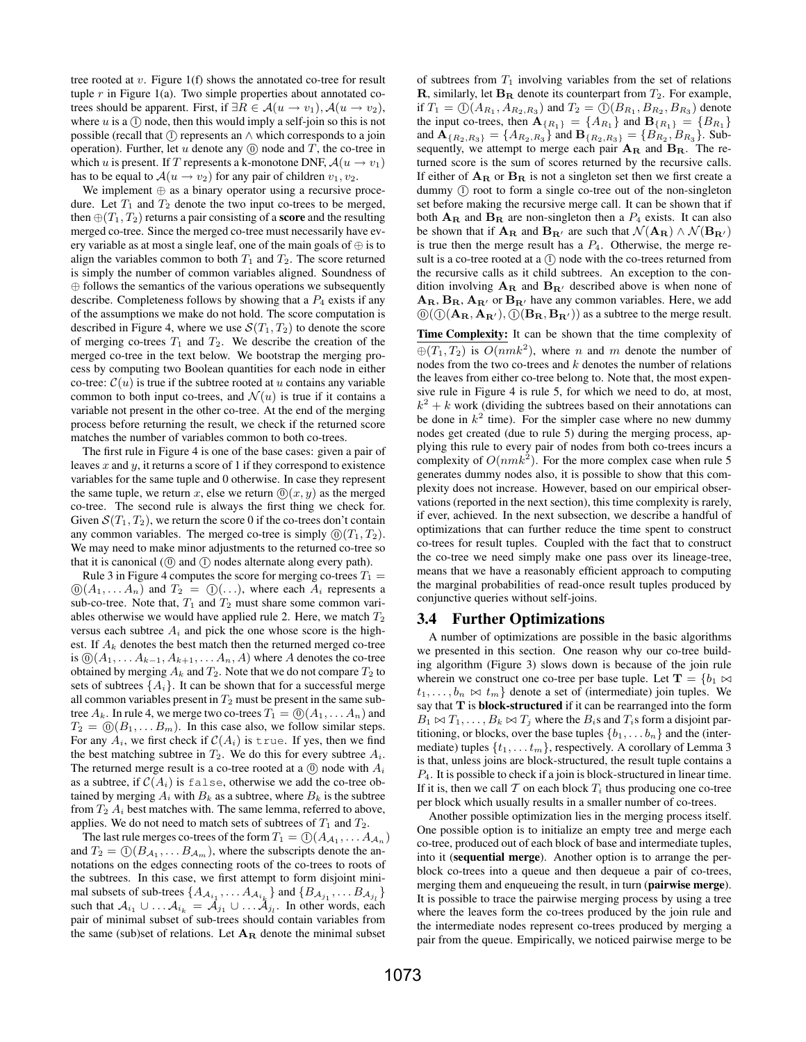tree rooted at  $v$ . Figure 1(f) shows the annotated co-tree for result tuple  $r$  in Figure 1(a). Two simple properties about annotated cotrees should be apparent. First, if  $\exists R \in \mathcal{A}(u \to v_1), \mathcal{A}(u \to v_2),$ where  $u$  is a  $(1)$  node, then this would imply a self-join so this is not possible (recall that  $(1)$  represents an  $\wedge$  which corresponds to a join operation). Further, let  $u$  denote any  $(0)$  node and  $T$ , the co-tree in which u is present. If T represents a k-monotone DNF,  $\mathcal{A}(u \to v_1)$ has to be equal to  $\mathcal{A}(u \to v_2)$  for any pair of children  $v_1, v_2$ .

We implement ⊕ as a binary operator using a recursive procedure. Let  $T_1$  and  $T_2$  denote the two input co-trees to be merged, then  $\oplus (T_1, T_2)$  returns a pair consisting of a **score** and the resulting merged co-tree. Since the merged co-tree must necessarily have every variable as at most a single leaf, one of the main goals of  $\oplus$  is to align the variables common to both  $T_1$  and  $T_2$ . The score returned is simply the number of common variables aligned. Soundness of ⊕ follows the semantics of the various operations we subsequently describe. Completeness follows by showing that a  $P_4$  exists if any of the assumptions we make do not hold. The score computation is described in Figure 4, where we use  $\mathcal{S}(T_1, T_2)$  to denote the score of merging co-trees  $T_1$  and  $T_2$ . We describe the creation of the merged co-tree in the text below. We bootstrap the merging process by computing two Boolean quantities for each node in either co-tree:  $C(u)$  is true if the subtree rooted at u contains any variable common to both input co-trees, and  $\mathcal{N}(u)$  is true if it contains a variable not present in the other co-tree. At the end of the merging process before returning the result, we check if the returned score matches the number of variables common to both co-trees.

The first rule in Figure 4 is one of the base cases: given a pair of leaves x and y, it returns a score of 1 if they correspond to existence variables for the same tuple and 0 otherwise. In case they represent the same tuple, we return x, else we return  $(0)(x, y)$  as the merged co-tree. The second rule is always the first thing we check for. Given  $S(T_1, T_2)$ , we return the score 0 if the co-trees don't contain any common variables. The merged co-tree is simply  $(0)(T_1, T_2)$ . We may need to make minor adjustments to the returned co-tree so that it is canonical ( $\circled{0}$  and  $\circled{1}$ ) nodes alternate along every path).

Rule 3 in Figure 4 computes the score for merging co-trees  $T_1 =$  $\mathbb{O}(A_1, \ldots, A_n)$  and  $T_2 = \mathbb{O}(\ldots)$ , where each  $A_i$  represents a sub-co-tree. Note that,  $T_1$  and  $T_2$  must share some common variables otherwise we would have applied rule 2. Here, we match  $T_2$ versus each subtree  $A_i$  and pick the one whose score is the highest. If  $A_k$  denotes the best match then the returned merged co-tree is  $\mathbb{O}(A_1, \ldots A_{k-1}, A_{k+1}, \ldots A_n, A)$  where A denotes the co-tree obtained by merging  $A_k$  and  $T_2$ . Note that we do not compare  $T_2$  to sets of subtrees  $\{A_i\}$ . It can be shown that for a successful merge all common variables present in  $T_2$  must be present in the same subtree  $A_k$ . In rule 4, we merge two co-trees  $T_1 = \mathbb{O}(A_1, \dots, A_n)$  and  $T_2 = \mathbb{O}(B_1, \dots B_m)$ . In this case also, we follow similar steps. For any  $A_i$ , we first check if  $C(A_i)$  is true. If yes, then we find the best matching subtree in  $T_2$ . We do this for every subtree  $A_i$ . The returned merge result is a co-tree rooted at a  $(0)$  node with  $A_i$ as a subtree, if  $C(A_i)$  is false, otherwise we add the co-tree obtained by merging  $A_i$  with  $B_k$  as a subtree, where  $B_k$  is the subtree from  $T_2$   $A_i$  best matches with. The same lemma, referred to above, applies. We do not need to match sets of subtrees of  $T_1$  and  $T_2$ .

The last rule merges co-trees of the form  $T_1 = \textcircled{1}(A_{\mathcal{A}_1}, \dots A_{\mathcal{A}_n})$ and  $T_2 = \mathbb{O}(B_{A_1}, \dots B_{A_m})$ , where the subscripts denote the annotations on the edges connecting roots of the co-trees to roots of the subtrees. In this case, we first attempt to form disjoint minimal subsets of sub-trees  $\{A_{\mathcal{A}_{i_1}}, \ldots A_{\mathcal{A}_{i_k}}\}$  and  $\{B_{\mathcal{A}_{j_1}}, \ldots B_{\mathcal{A}_{j_l}}\}$ such that  $A_{i_1} \cup ... A_{i_k} = \tilde{A}_{j_1} \cup ... \tilde{A}_{j_l}$ . In other words, each pair of minimal subset of sub-trees should contain variables from the same (sub)set of relations. Let  $A_R$  denote the minimal subset

of subtrees from  $T_1$  involving variables from the set of relations **R**, similarly, let  $B_R$  denote its counterpart from  $T_2$ . For example, if  $T_1 = \mathbb{O}(A_{R_1}, A_{R_2, R_3})$  and  $T_2 = \mathbb{O}(B_{R_1}, B_{R_2}, B_{R_3})$  denote the input co-trees, then  $\mathbf{A}_{\{R_1\}} = \{A_{R_1}\}\$  and  $\mathbf{B}_{\{R_1\}} = \{B_{R_1}\}\$ and  ${\bf A}_{\{R_2, R_3\}} = \{A_{R_2, R_3}\}$  and  ${\bf B}_{\{R_2, R_3\}} = \{B_{R_2}, B_{R_3}\}.$  Subsequently, we attempt to merge each pair  $A_R$  and  $B_R$ . The returned score is the sum of scores returned by the recursive calls. If either of  $A_R$  or  $B_R$  is not a singleton set then we first create a dummy (1) root to form a single co-tree out of the non-singleton set before making the recursive merge call. It can be shown that if both  $A_R$  and  $B_R$  are non-singleton then a  $P_4$  exists. It can also be shown that if  $\mathbf{A_R}$  and  $\mathbf{B_{R'}}$  are such that  $\mathcal{N}(\mathbf{A_R}) \wedge \mathcal{N}(\mathbf{B_{R'}})$ is true then the merge result has a  $P_4$ . Otherwise, the merge result is a co-tree rooted at a  $(1)$  node with the co-trees returned from the recursive calls as it child subtrees. An exception to the condition involving  $A_R$  and  $B_{R'}$  described above is when none of  $A_{\rm R}$ ,  $B_{\rm R}$ ,  $A_{\rm R}$  or  $B_{\rm R}$  have any common variables. Here, we add  $(0)$  $(1)$  $($ **A**<sub>R</sub>, **A**<sub>R'</sub> $)$ ,  $(1)$  $($ **B**<sub>R</sub>, **B**<sub>R'</sub> $)$ ) as a subtree to the merge result.

Time Complexity: It can be shown that the time complexity of  $\oplus (T_1, T_2)$  is  $O(nmk^2)$ , where n and m denote the number of nodes from the two co-trees and  $k$  denotes the number of relations the leaves from either co-tree belong to. Note that, the most expensive rule in Figure 4 is rule 5, for which we need to do, at most,  $k^2 + k$  work (dividing the subtrees based on their annotations can be done in  $k^2$  time). For the simpler case where no new dummy nodes get created (due to rule 5) during the merging process, applying this rule to every pair of nodes from both co-trees incurs a complexity of  $O(nmk^2)$ . For the more complex case when rule 5 generates dummy nodes also, it is possible to show that this complexity does not increase. However, based on our empirical observations (reported in the next section), this time complexity is rarely, if ever, achieved. In the next subsection, we describe a handful of optimizations that can further reduce the time spent to construct co-trees for result tuples. Coupled with the fact that to construct the co-tree we need simply make one pass over its lineage-tree, means that we have a reasonably efficient approach to computing the marginal probabilities of read-once result tuples produced by conjunctive queries without self-joins.

#### 3.4 Further Optimizations

A number of optimizations are possible in the basic algorithms we presented in this section. One reason why our co-tree building algorithm (Figure 3) slows down is because of the join rule wherein we construct one co-tree per base tuple. Let  $\mathbf{T} = \{b_1 \Join b_2\}$  $t_1, \ldots, b_n \bowtie t_m$  denote a set of (intermediate) join tuples. We say that T is block-structured if it can be rearranged into the form  $B_1 \bowtie T_1, \ldots, B_k \bowtie T_j$  where the  $B_i$ s and  $T_i$ s form a disjoint partitioning, or blocks, over the base tuples  $\{b_1, \ldots, b_n\}$  and the (intermediate) tuples  $\{t_1, \ldots t_m\}$ , respectively. A corollary of Lemma 3 is that, unless joins are block-structured, the result tuple contains a  $P_4$ . It is possible to check if a join is block-structured in linear time. If it is, then we call T on each block  $T_i$  thus producing one co-tree per block which usually results in a smaller number of co-trees.

Another possible optimization lies in the merging process itself. One possible option is to initialize an empty tree and merge each co-tree, produced out of each block of base and intermediate tuples, into it (sequential merge). Another option is to arrange the perblock co-trees into a queue and then dequeue a pair of co-trees, merging them and enqueueing the result, in turn (pairwise merge). It is possible to trace the pairwise merging process by using a tree where the leaves form the co-trees produced by the join rule and the intermediate nodes represent co-trees produced by merging a pair from the queue. Empirically, we noticed pairwise merge to be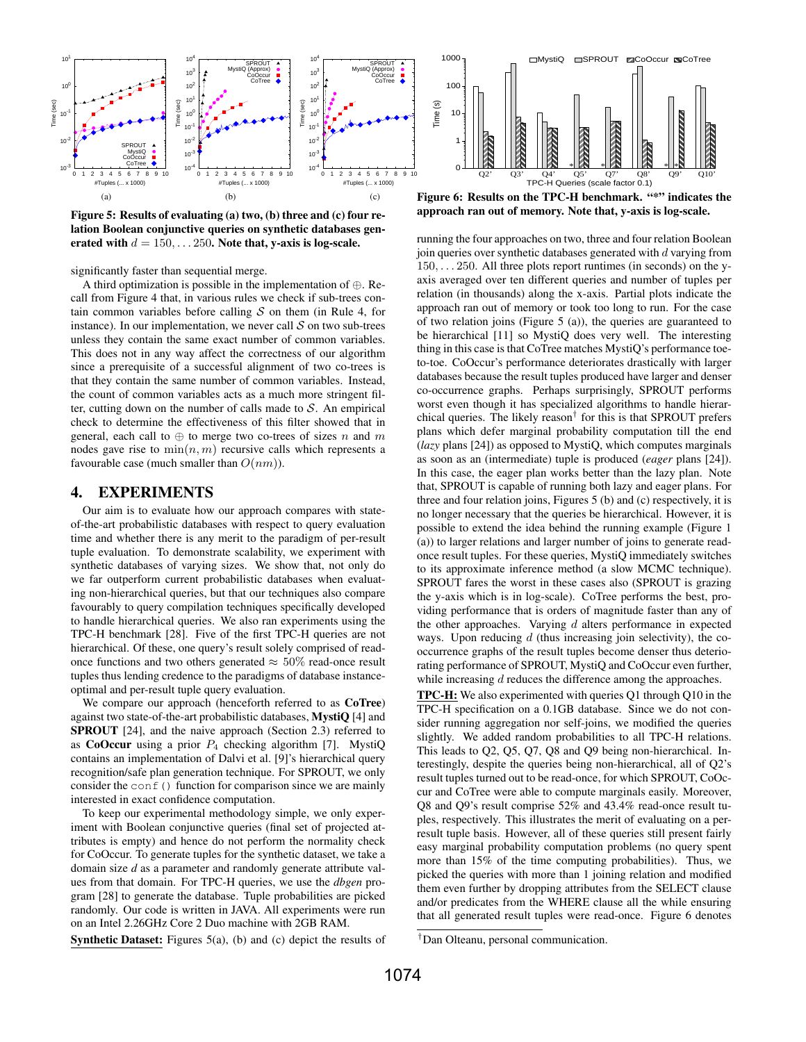



significantly faster than sequential merge.

A third optimization is possible in the implementation of ⊕. Recall from Figure 4 that, in various rules we check if sub-trees contain common variables before calling  $S$  on them (in Rule 4, for instance). In our implementation, we never call  $S$  on two sub-trees unless they contain the same exact number of common variables. This does not in any way affect the correctness of our algorithm since a prerequisite of a successful alignment of two co-trees is that they contain the same number of common variables. Instead, the count of common variables acts as a much more stringent filter, cutting down on the number of calls made to  $S$ . An empirical check to determine the effectiveness of this filter showed that in general, each call to  $\oplus$  to merge two co-trees of sizes n and m nodes gave rise to  $\min(n, m)$  recursive calls which represents a favourable case (much smaller than  $O(nm)$ ).

#### 4. EXPERIMENTS

Our aim is to evaluate how our approach compares with stateof-the-art probabilistic databases with respect to query evaluation time and whether there is any merit to the paradigm of per-result tuple evaluation. To demonstrate scalability, we experiment with synthetic databases of varying sizes. We show that, not only do we far outperform current probabilistic databases when evaluating non-hierarchical queries, but that our techniques also compare favourably to query compilation techniques specifically developed to handle hierarchical queries. We also ran experiments using the TPC-H benchmark [28]. Five of the first TPC-H queries are not hierarchical. Of these, one query's result solely comprised of readonce functions and two others generated  $\approx 50\%$  read-once result tuples thus lending credence to the paradigms of database instanceoptimal and per-result tuple query evaluation.

We compare our approach (henceforth referred to as CoTree) against two state-of-the-art probabilistic databases, MystiQ [4] and SPROUT [24], and the naive approach (Section 2.3) referred to as CoOccur using a prior  $P_4$  checking algorithm [7]. MystiQ contains an implementation of Dalvi et al. [9]'s hierarchical query recognition/safe plan generation technique. For SPROUT, we only consider the  $\text{conf}(t)$  function for comparison since we are mainly interested in exact confidence computation.

To keep our experimental methodology simple, we only experiment with Boolean conjunctive queries (final set of projected attributes is empty) and hence do not perform the normality check for CoOccur. To generate tuples for the synthetic dataset, we take a domain size *d* as a parameter and randomly generate attribute values from that domain. For TPC-H queries, we use the *dbgen* program [28] to generate the database. Tuple probabilities are picked randomly. Our code is written in JAVA. All experiments were run on an Intel 2.26GHz Core 2 Duo machine with 2GB RAM.

Synthetic Dataset: Figures 5(a), (b) and (c) depict the results of

approach ran out of memory. Note that, y-axis is log-scale.

running the four approaches on two, three and four relation Boolean join queries over synthetic databases generated with  $d$  varying from 150, . . . 250. All three plots report runtimes (in seconds) on the yaxis averaged over ten different queries and number of tuples per relation (in thousands) along the x-axis. Partial plots indicate the approach ran out of memory or took too long to run. For the case of two relation joins (Figure 5 (a)), the queries are guaranteed to be hierarchical [11] so MystiQ does very well. The interesting thing in this case is that CoTree matches MystiQ's performance toeto-toe. CoOccur's performance deteriorates drastically with larger databases because the result tuples produced have larger and denser co-occurrence graphs. Perhaps surprisingly, SPROUT performs worst even though it has specialized algorithms to handle hierarchical queries. The likely reason† for this is that SPROUT prefers plans which defer marginal probability computation till the end (*lazy* plans [24]) as opposed to MystiQ, which computes marginals as soon as an (intermediate) tuple is produced (*eager* plans [24]). In this case, the eager plan works better than the lazy plan. Note that, SPROUT is capable of running both lazy and eager plans. For three and four relation joins, Figures 5 (b) and (c) respectively, it is no longer necessary that the queries be hierarchical. However, it is possible to extend the idea behind the running example (Figure 1 (a)) to larger relations and larger number of joins to generate readonce result tuples. For these queries, MystiQ immediately switches to its approximate inference method (a slow MCMC technique). SPROUT fares the worst in these cases also (SPROUT is grazing the y-axis which is in log-scale). CoTree performs the best, providing performance that is orders of magnitude faster than any of the other approaches. Varying  $d$  alters performance in expected ways. Upon reducing  $d$  (thus increasing join selectivity), the cooccurrence graphs of the result tuples become denser thus deteriorating performance of SPROUT, MystiQ and CoOccur even further, while increasing d reduces the difference among the approaches.

TPC-H: We also experimented with queries Q1 through Q10 in the TPC-H specification on a 0.1GB database. Since we do not consider running aggregation nor self-joins, we modified the queries slightly. We added random probabilities to all TPC-H relations. This leads to Q2, Q5, Q7, Q8 and Q9 being non-hierarchical. Interestingly, despite the queries being non-hierarchical, all of Q2's result tuples turned out to be read-once, for which SPROUT, CoOccur and CoTree were able to compute marginals easily. Moreover, Q8 and Q9's result comprise 52% and 43.4% read-once result tuples, respectively. This illustrates the merit of evaluating on a perresult tuple basis. However, all of these queries still present fairly easy marginal probability computation problems (no query spent more than 15% of the time computing probabilities). Thus, we picked the queries with more than 1 joining relation and modified them even further by dropping attributes from the SELECT clause and/or predicates from the WHERE clause all the while ensuring that all generated result tuples were read-once. Figure 6 denotes

<sup>†</sup>Dan Olteanu, personal communication.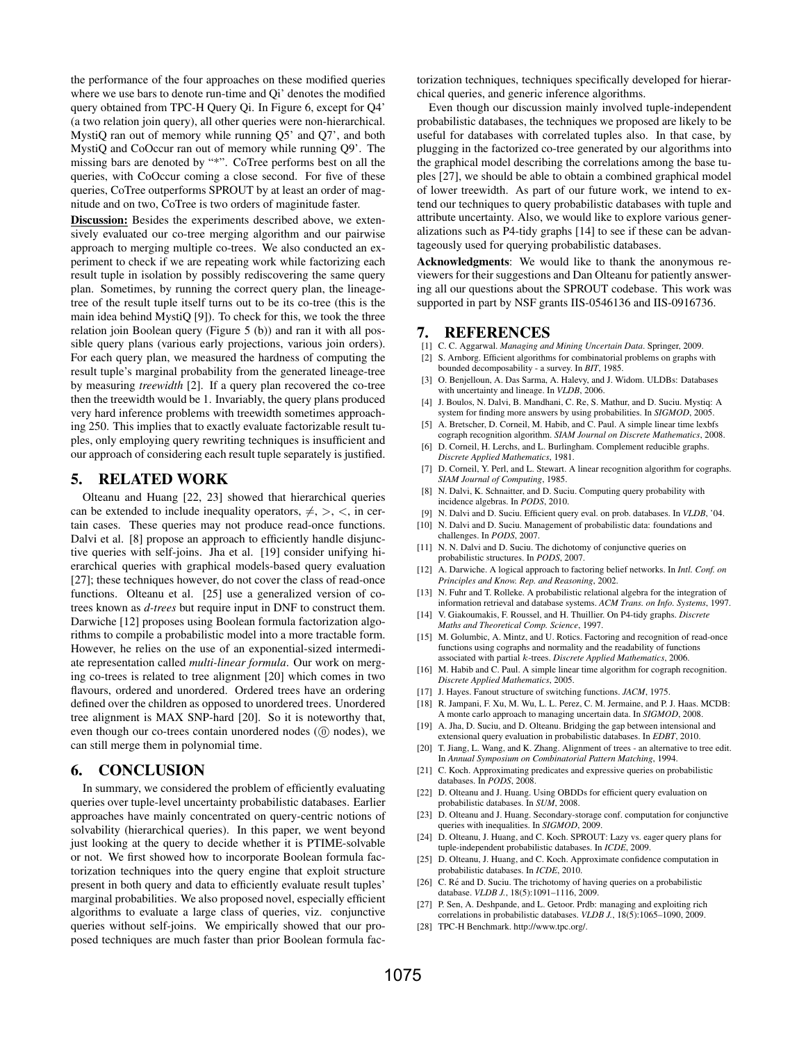the performance of the four approaches on these modified queries where we use bars to denote run-time and Qi' denotes the modified query obtained from TPC-H Query Qi. In Figure 6, except for Q4' (a two relation join query), all other queries were non-hierarchical. MystiQ ran out of memory while running Q5' and Q7', and both MystiQ and CoOccur ran out of memory while running Q9'. The missing bars are denoted by "\*". CoTree performs best on all the queries, with CoOccur coming a close second. For five of these queries, CoTree outperforms SPROUT by at least an order of magnitude and on two, CoTree is two orders of maginitude faster.

Discussion: Besides the experiments described above, we extensively evaluated our co-tree merging algorithm and our pairwise approach to merging multiple co-trees. We also conducted an experiment to check if we are repeating work while factorizing each result tuple in isolation by possibly rediscovering the same query plan. Sometimes, by running the correct query plan, the lineagetree of the result tuple itself turns out to be its co-tree (this is the main idea behind MystiQ [9]). To check for this, we took the three relation join Boolean query (Figure 5 (b)) and ran it with all possible query plans (various early projections, various join orders). For each query plan, we measured the hardness of computing the result tuple's marginal probability from the generated lineage-tree by measuring *treewidth* [2]. If a query plan recovered the co-tree then the treewidth would be 1. Invariably, the query plans produced very hard inference problems with treewidth sometimes approaching 250. This implies that to exactly evaluate factorizable result tuples, only employing query rewriting techniques is insufficient and our approach of considering each result tuple separately is justified.

#### 5. RELATED WORK

Olteanu and Huang [22, 23] showed that hierarchical queries can be extended to include inequality operators,  $\neq, >, <,$  in certain cases. These queries may not produce read-once functions. Dalvi et al. [8] propose an approach to efficiently handle disjunctive queries with self-joins. Jha et al. [19] consider unifying hierarchical queries with graphical models-based query evaluation [27]; these techniques however, do not cover the class of read-once functions. Olteanu et al. [25] use a generalized version of cotrees known as *d-trees* but require input in DNF to construct them. Darwiche [12] proposes using Boolean formula factorization algorithms to compile a probabilistic model into a more tractable form. However, he relies on the use of an exponential-sized intermediate representation called *multi-linear formula*. Our work on merging co-trees is related to tree alignment [20] which comes in two flavours, ordered and unordered. Ordered trees have an ordering defined over the children as opposed to unordered trees. Unordered tree alignment is MAX SNP-hard [20]. So it is noteworthy that, even though our co-trees contain unordered nodes ( $(0)$  nodes), we can still merge them in polynomial time.

#### 6. CONCLUSION

In summary, we considered the problem of efficiently evaluating queries over tuple-level uncertainty probabilistic databases. Earlier approaches have mainly concentrated on query-centric notions of solvability (hierarchical queries). In this paper, we went beyond just looking at the query to decide whether it is PTIME-solvable or not. We first showed how to incorporate Boolean formula factorization techniques into the query engine that exploit structure present in both query and data to efficiently evaluate result tuples' marginal probabilities. We also proposed novel, especially efficient algorithms to evaluate a large class of queries, viz. conjunctive queries without self-joins. We empirically showed that our proposed techniques are much faster than prior Boolean formula factorization techniques, techniques specifically developed for hierarchical queries, and generic inference algorithms.

Even though our discussion mainly involved tuple-independent probabilistic databases, the techniques we proposed are likely to be useful for databases with correlated tuples also. In that case, by plugging in the factorized co-tree generated by our algorithms into the graphical model describing the correlations among the base tuples [27], we should be able to obtain a combined graphical model of lower treewidth. As part of our future work, we intend to extend our techniques to query probabilistic databases with tuple and attribute uncertainty. Also, we would like to explore various generalizations such as P4-tidy graphs [14] to see if these can be advantageously used for querying probabilistic databases.

Acknowledgments: We would like to thank the anonymous reviewers for their suggestions and Dan Olteanu for patiently answering all our questions about the SPROUT codebase. This work was supported in part by NSF grants IIS-0546136 and IIS-0916736.

### 7. REFERENCES

- [1] C. C. Aggarwal. *Managing and Mining Uncertain Data*. Springer, 2009.
- [2] S. Arnborg. Efficient algorithms for combinatorial problems on graphs with bounded decomposability - a survey. In *BIT*, 1985.
- [3] O. Benjelloun, A. Das Sarma, A. Halevy, and J. Widom. ULDBs: Databases with uncertainty and lineage. In *VLDB*, 2006.
- [4] J. Boulos, N. Dalvi, B. Mandhani, C. Re, S. Mathur, and D. Suciu. Mystiq: A system for finding more answers by using probabilities. In *SIGMOD*, 2005.
- [5] A. Bretscher, D. Corneil, M. Habib, and C. Paul. A simple linear time lexbfs cograph recognition algorithm. *SIAM Journal on Discrete Mathematics*, 2008.
- [6] D. Corneil, H. Lerchs, and L. Burlingham. Complement reducible graphs. *Discrete Applied Mathematics*, 1981.
- [7] D. Corneil, Y. Perl, and L. Stewart. A linear recognition algorithm for cographs. *SIAM Journal of Computing*, 1985.
- [8] N. Dalvi, K. Schnaitter, and D. Suciu. Computing query probability with incidence algebras. In *PODS*, 2010.
- [9] N. Dalvi and D. Suciu. Efficient query eval. on prob. databases. In *VLDB*, '04.
- [10] N. Dalvi and D. Suciu. Management of probabilistic data: foundations and challenges. In *PODS*, 2007.
- [11] N. N. Dalvi and D. Suciu. The dichotomy of conjunctive queries on probabilistic structures. In *PODS*, 2007.
- [12] A. Darwiche. A logical approach to factoring belief networks. In *Intl. Conf. on Principles and Know. Rep. and Reasoning*, 2002.
- [13] N. Fuhr and T. Rolleke. A probabilistic relational algebra for the integration of information retrieval and database systems. *ACM Trans. on Info. Systems*, 1997.
- [14] V. Giakoumakis, F. Roussel, and H. Thuillier. On P4-tidy graphs. *Discrete Maths and Theoretical Comp. Science*, 1997.
- [15] M. Golumbic, A. Mintz, and U. Rotics. Factoring and recognition of read-once functions using cographs and normality and the readability of functions associated with partial k-trees. *Discrete Applied Mathematics*, 2006.
- [16] M. Habib and C. Paul. A simple linear time algorithm for cograph recognition. *Discrete Applied Mathematics*, 2005.
- [17] J. Hayes. Fanout structure of switching functions. *JACM*, 1975.
- [18] R. Jampani, F. Xu, M. Wu, L. L. Perez, C. M. Jermaine, and P. J. Haas. MCDB: A monte carlo approach to managing uncertain data. In *SIGMOD*, 2008.
- [19] A. Jha, D. Suciu, and D. Olteanu. Bridging the gap between intensional and extensional query evaluation in probabilistic databases. In *EDBT*, 2010.
- [20] T. Jiang, L. Wang, and K. Zhang. Alignment of trees an alternative to tree edit. In *Annual Symposium on Combinatorial Pattern Matching*, 1994.
- [21] C. Koch. Approximating predicates and expressive queries on probabilistic databases. In *PODS*, 2008.
- [22] D. Olteanu and J. Huang. Using OBDDs for efficient query evaluation on probabilistic databases. In *SUM*, 2008.
- [23] D. Olteanu and J. Huang. Secondary-storage conf. computation for conjunctive queries with inequalities. In *SIGMOD*, 2009.
- [24] D. Olteanu, J. Huang, and C. Koch. SPROUT: Lazy vs. eager query plans for tuple-independent probabilistic databases. In *ICDE*, 2009.
- [25] D. Olteanu, J. Huang, and C. Koch. Approximate confidence computation in probabilistic databases. In *ICDE*, 2010.
- [26] C. Ré and D. Suciu. The trichotomy of having queries on a probabilistic database. *VLDB J.*, 18(5):1091–1116, 2009.
- [27] P. Sen, A. Deshpande, and L. Getoor. Prdb: managing and exploiting rich correlations in probabilistic databases. *VLDB J.*, 18(5):1065–1090, 2009.
- [28] TPC-H Benchmark. http://www.tpc.org/.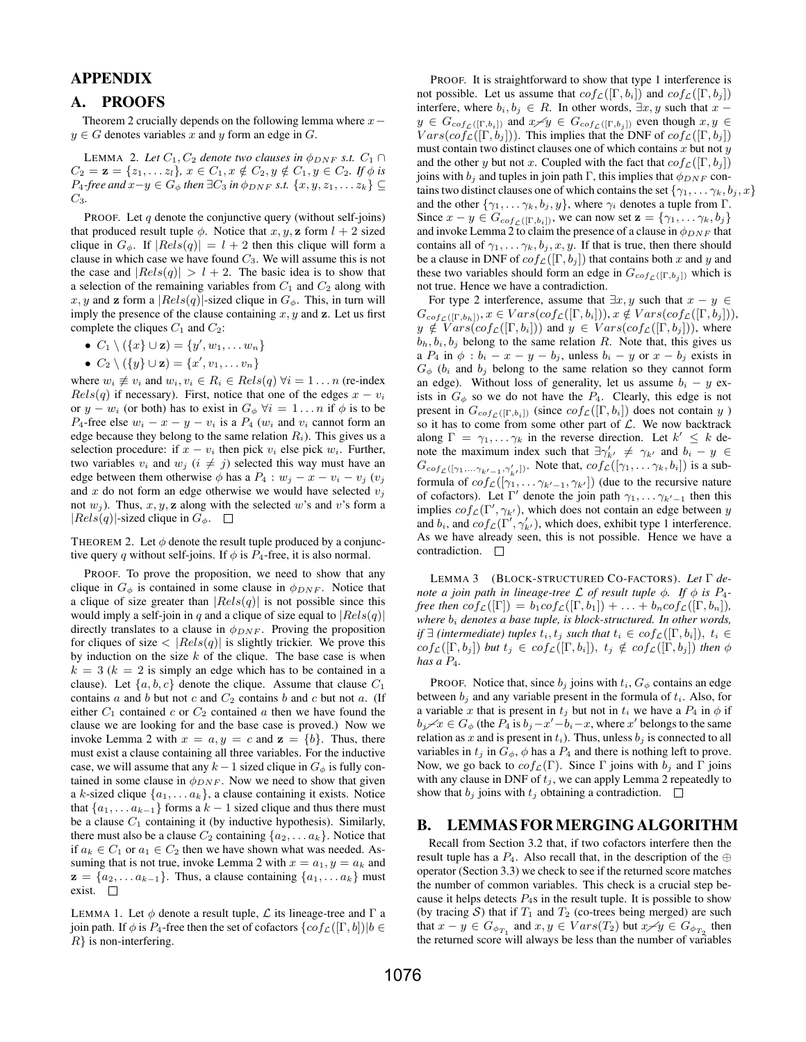## APPENDIX

#### A. PROOFS

Theorem 2 crucially depends on the following lemma where  $x$  $y \in G$  denotes variables x and y form an edge in G.

LEMMA 2. Let  $C_1$ ,  $C_2$  denote two clauses in  $\phi_{DNF}$  s.t.  $C_1 \cap$  $C_2 = \mathbf{z} = \{z_1, \ldots z_l\}, x \in C_1, x \notin C_2, y \notin C_1, y \in C_2$ *. If*  $\phi$  *is*  $P_4$ -free and  $x-y \in G_{\phi}$  then ∃ $C_3$  in  $\phi_{DNF}$  *s.t.*  $\{x, y, z_1, \ldots z_k\}$  ⊆ C3*.*

PROOF. Let  $q$  denote the conjunctive query (without self-joins) that produced result tuple  $\phi$ . Notice that x, y, z form  $l + 2$  sized clique in  $G_{\phi}$ . If  $|Rels(q)| = l + 2$  then this clique will form a clause in which case we have found  $C_3$ . We will assume this is not the case and  $|Rels(q)| > l + 2$ . The basic idea is to show that a selection of the remaining variables from  $C_1$  and  $C_2$  along with x, y and z form a  $|Rels(q)|$ -sized clique in  $G_{\phi}$ . This, in turn will imply the presence of the clause containing  $x, y$  and  $z$ . Let us first complete the cliques  $C_1$  and  $C_2$ :

- $C_1 \setminus (\{x\} \cup \mathbf{z}) = \{y', w_1, \dots w_n\}$
- $C_2 \setminus (\{y\} \cup \mathbf{z}) = \{x', v_1, \dots v_n\}$

where  $w_i \not\equiv v_i$  and  $w_i, v_i \in R_i \in Rels(q)$   $\forall i = 1 \dots n$  (re-index  $Rels(q)$  if necessary). First, notice that one of the edges  $x - v_i$ or  $y - w_i$  (or both) has to exist in  $G_{\phi} \forall i = 1 \dots n$  if  $\phi$  is to be P<sub>4</sub>-free else  $w_i - x - y - v_i$  is a P<sub>4</sub> ( $w_i$  and  $v_i$  cannot form an edge because they belong to the same relation  $R_i$ ). This gives us a selection procedure: if  $x - v_i$  then pick  $v_i$  else pick  $w_i$ . Further, two variables  $v_i$  and  $w_j$   $(i \neq j)$  selected this way must have an edge between them otherwise  $\phi$  has a  $P_4 : w_j - x - v_i - v_j$  ( $v_j$ ) and  $x$  do not form an edge otherwise we would have selected  $v_j$ not  $w_j$ ). Thus,  $x, y, z$  along with the selected w's and v's form a  $|Rels(q)|$ -sized clique in  $G_{\phi}$ .  $\square$ 

THEOREM 2. Let  $\phi$  denote the result tuple produced by a conjunctive query q without self-joins. If  $\phi$  is  $P_4$ -free, it is also normal.

PROOF. To prove the proposition, we need to show that any clique in  $G_{\phi}$  is contained in some clause in  $\phi_{DNF}$ . Notice that a clique of size greater than  $|Rels(q)|$  is not possible since this would imply a self-join in q and a clique of size equal to  $|Rels(q)|$ directly translates to a clause in  $\phi_{DNF}$ . Proving the proposition for cliques of size  $\langle |Rels(q)|$  is slightly trickier. We prove this by induction on the size  $k$  of the clique. The base case is when  $k = 3$  ( $k = 2$  is simply an edge which has to be contained in a clause). Let  $\{a, b, c\}$  denote the clique. Assume that clause  $C_1$ contains  $a$  and  $b$  but not  $c$  and  $C_2$  contains  $b$  and  $c$  but not  $a$ . (If either  $C_1$  contained c or  $C_2$  contained a then we have found the clause we are looking for and the base case is proved.) Now we invoke Lemma 2 with  $x = a, y = c$  and  $z = \{b\}$ . Thus, there must exist a clause containing all three variables. For the inductive case, we will assume that any  $k-1$  sized clique in  $G_{\phi}$  is fully contained in some clause in  $\phi_{DNF}$ . Now we need to show that given a k-sized clique  $\{a_1, \ldots a_k\}$ , a clause containing it exists. Notice that  $\{a_1, \ldots a_{k-1}\}$  forms a  $k-1$  sized clique and thus there must be a clause  $C_1$  containing it (by inductive hypothesis). Similarly, there must also be a clause  $C_2$  containing  $\{a_2, \ldots a_k\}$ . Notice that if  $a_k \in C_1$  or  $a_1 \in C_2$  then we have shown what was needed. Assuming that is not true, invoke Lemma 2 with  $x = a_1, y = a_k$  and  $z = \{a_2, \ldots a_{k-1}\}.$  Thus, a clause containing  $\{a_1, \ldots a_k\}$  must exist.

LEMMA 1. Let  $\phi$  denote a result tuple,  $\mathcal L$  its lineage-tree and  $\Gamma$  a join path. If  $\phi$  is  $P_4$ -free then the set of cofactors  $\{cof_{\mathcal{L}}([\Gamma, b])|b \in$  $R$ } is non-interfering.

PROOF. It is straightforward to show that type 1 interference is not possible. Let us assume that  $cof_{\mathcal{L}}([\Gamma, b_i])$  and  $cof_{\mathcal{L}}([\Gamma, b_j])$ interfere, where  $b_i, b_j \in R$ . In other words,  $\exists x, y$  such that  $x$  $y \in G_{cof_{\mathcal{L}}([{\Gamma},b_i])}$  and  $x \neq y \in G_{cof_{\mathcal{L}}([{\Gamma},b_j])}$  even though  $x, y \in$  $Vars(cof_{\mathcal{L}}([\Gamma, b_j]))$ . This implies that the DNF of  $cof_{\mathcal{L}}([\Gamma, b_j])$ must contain two distinct clauses one of which contains  $x$  but not  $y$ and the other y but not x. Coupled with the fact that  $cof_{\mathcal{L}}([\Gamma, b_i])$ joins with  $b_i$  and tuples in join path Γ, this implies that  $\phi_{DNF}$  contains two distinct clauses one of which contains the set  $\{\gamma_1, \ldots, \gamma_k, b_i, x\}$ and the other  $\{\gamma_1, \ldots \gamma_k, b_j, y\}$ , where  $\gamma_i$  denotes a tuple from Γ. Since  $x - y \in G_{cof_{\mathcal{L}}([ \Gamma, b_i])}$ , we can now set  $\mathbf{z} = {\gamma_1, \dots \gamma_k, b_j}$ and invoke Lemma 2 to claim the presence of a clause in  $\phi_{DNF}$  that contains all of  $\gamma_1, \ldots, \gamma_k, b_j, x, y$ . If that is true, then there should be a clause in DNF of  $cof_{\mathcal{L}}([\Gamma, b_j])$  that contains both x and y and these two variables should form an edge in  $G_{cof_{\mathcal{L}}([{\Gamma},b_i])}$  which is not true. Hence we have a contradiction.

For type 2 interference, assume that  $\exists x, y$  such that  $x - y \in$  $G_{cof_{\mathcal{L}}([\Gamma,b_h])}, x \in Vars(cof_{\mathcal{L}}([\Gamma,b_i])), x \notin Vars(cof_{\mathcal{L}}([\Gamma,b_j])),$  $y \notin Vars(cof_{\mathcal{L}}([\Gamma, b_i]))$  and  $y \in Vars(cof_{\mathcal{L}}([\Gamma, b_j]))$ , where  $b_h, b_i, b_j$  belong to the same relation R. Note that, this gives us a  $P_4$  in  $\phi$  :  $b_i - x - y - b_j$ , unless  $b_i - y$  or  $x - b_j$  exists in  $G_{\phi}$  ( $b_i$  and  $b_j$  belong to the same relation so they cannot form an edge). Without loss of generality, let us assume  $b_i - y$  exists in  $G_{\phi}$  so we do not have the  $P_4$ . Clearly, this edge is not present in  $G_{cof_{\mathcal{L}}([{\Gamma},b_i])}$  (since  $cof_{\mathcal{L}}([{\Gamma},b_i])$  does not contain y ) so it has to come from some other part of  $\mathcal{L}$ . We now backtrack along  $\Gamma = \gamma_1, \dots \gamma_k$  in the reverse direction. Let  $k' \leq k$  denote the maximum index such that  $\exists \gamma'_{k'} \neq \gamma_{k'}$  and  $b_i - y \in$  $G_{cof_{\mathcal{L}}([\gamma_1,\ldots \gamma_{k'-1},\gamma'_{k'}])}$ . Note that,  $cof_{\mathcal{L}}([\gamma_1,\ldots \gamma_k,b_i])$  is a subformula of  $cof_{\mathcal{L}}([\gamma_1, \ldots \gamma_{k'-1}, \gamma_{k'}])$  (due to the recursive nature of cofactors). Let  $\Gamma'$  denote the join path  $\gamma_1, \ldots, \gamma_{k'-1}$  then this implies  $cof_{\mathcal{L}}(\Gamma', \gamma_{k'})$ , which does not contain an edge between y and  $b_i$ , and  $cof_{\mathcal{L}}(\Gamma', \gamma'_{k'})$ , which does, exhibit type 1 interference. As we have already seen, this is not possible. Hence we have a contradiction.  $\square$ 

LEMMA 3 (BLOCK-STRUCTURED CO-FACTORS). *Let* Γ *denote a join path in lineage-tree*  $\mathcal L$  *of result tuple*  $\phi$ *. If*  $\phi$  *is*  $P_4$ *free then*  $cof_{\mathcal{L}}([\Gamma]) = b_1 cof_{\mathcal{L}}([\Gamma, b_1]) + \ldots + b_n cof_{\mathcal{L}}([\Gamma, b_n]),$ *where*  $b_i$  *denotes a base tuple, is block-structured. In other words, if*  $\exists$  *(intermediate) tuples*  $t_i, t_j$  *such that*  $t_i \in cof_{\mathcal{L}}([\Gamma, b_i]), t_i \in$  $cof_{\mathcal{L}}([\Gamma, b_j])$  *but*  $t_j \in cof_{\mathcal{L}}([\Gamma, b_i]), t_j \notin cof_{\mathcal{L}}([\Gamma, b_j])$  *then*  $\phi$ *has a* P4*.*

PROOF. Notice that, since  $b_j$  joins with  $t_i$ ,  $G_{\phi}$  contains an edge between  $b_i$  and any variable present in the formula of  $t_i$ . Also, for a variable x that is present in  $t_j$  but not in  $t_i$  we have a  $P_4$  in  $\phi$  if  $b_j \angle x \in G_\phi$  (the  $P_4$  is  $b_j - x' - b_i - x$ , where  $x'$  belongs to the same relation as x and is present in  $t_i$ ). Thus, unless  $b_j$  is connected to all variables in  $t_j$  in  $G_\phi$ ,  $\phi$  has a  $P_4$  and there is nothing left to prove. Now, we go back to  $cof_{\mathcal{L}}(\Gamma)$ . Since  $\Gamma$  joins with  $b_j$  and  $\Gamma$  joins with any clause in DNF of  $t_j$ , we can apply Lemma 2 repeatedly to show that  $b_j$  joins with  $t_j$  obtaining a contradiction.  $\Box$ 

## B. LEMMAS FORMERGING ALGORITHM

Recall from Section 3.2 that, if two cofactors interfere then the result tuple has a  $P_4$ . Also recall that, in the description of the ⊕ operator (Section 3.3) we check to see if the returned score matches the number of common variables. This check is a crucial step because it helps detects  $P_4$ s in the result tuple. It is possible to show (by tracing S) that if  $T_1$  and  $T_2$  (co-trees being merged) are such that  $x - y \in G_{\phi_{T_1}}$  and  $x, y \in Vars(T_2)$  but  $x \neq y \in G_{\phi_{T_2}}$  then the returned score will always be less than the number of variables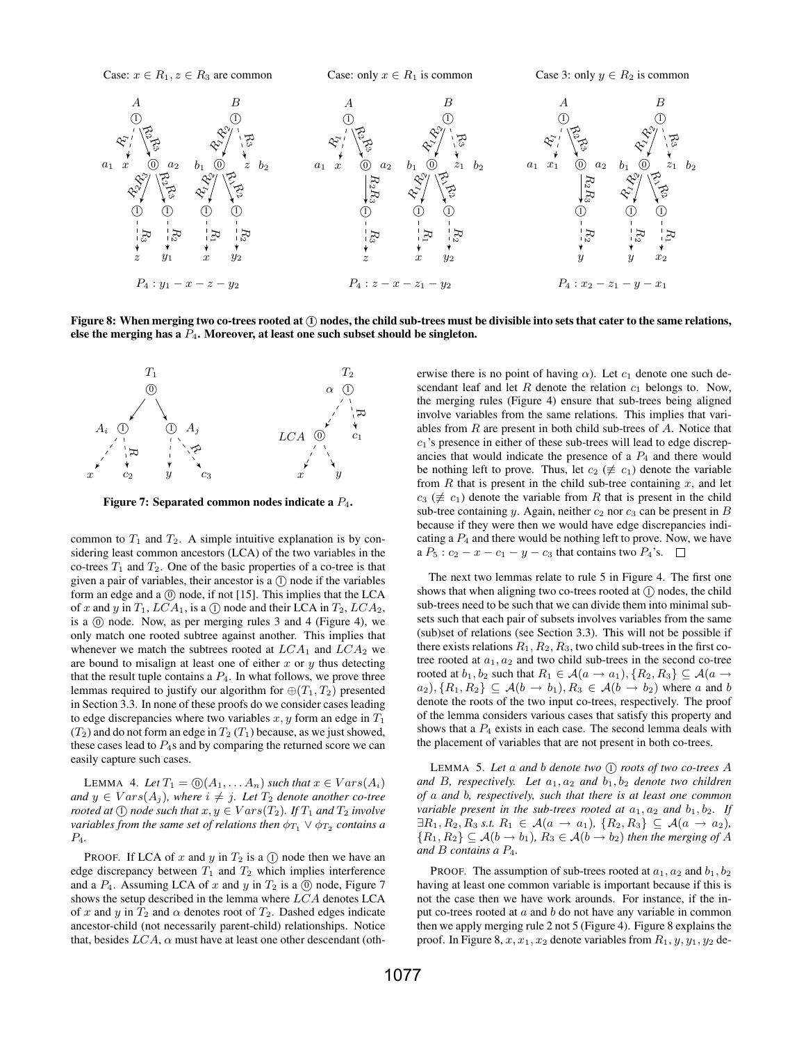

Figure 8: When merging two co-trees rooted at  $(1)$  nodes, the child sub-trees must be divisible into sets that cater to the same relations, else the merging has a  $P_4$ . Moreover, at least one such subset should be singleton.



Figure 7: Separated common nodes indicate a  $P_4$ .

common to  $T_1$  and  $T_2$ . A simple intuitive explanation is by considering least common ancestors (LCA) of the two variables in the co-trees  $T_1$  and  $T_2$ . One of the basic properties of a co-tree is that given a pair of variables, their ancestor is a  $(1)$  node if the variables form an edge and a  $(0)$  node, if not [15]. This implies that the LCA of x and y in  $T_1$ ,  $LCA_1$ , is a (1) node and their LCA in  $T_2$ ,  $LCA_2$ , is a  $(0)$  node. Now, as per merging rules 3 and 4 (Figure 4), we only match one rooted subtree against another. This implies that whenever we match the subtrees rooted at  $LCA_1$  and  $LCA_2$  we are bound to misalign at least one of either  $x$  or  $y$  thus detecting that the result tuple contains a  $P_4$ . In what follows, we prove three lemmas required to justify our algorithm for  $\oplus(T_1, T_2)$  presented in Section 3.3. In none of these proofs do we consider cases leading to edge discrepancies where two variables  $x, y$  form an edge in  $T_1$  $(T_2)$  and do not form an edge in  $T_2$   $(T_1)$  because, as we just showed, these cases lead to  $P_4$ s and by comparing the returned score we can easily capture such cases.

LEMMA 4. Let  $T_1 = \textcircled{0}(A_1, \ldots, A_n)$  *such that*  $x \in Vars(A_i)$ *and*  $y$  ∈  $Vars(A_j)$ *, where*  $i ≠ j$ *. Let*  $T_2$  *denote another co-tree rooted at*  $\textcircled{1}$  *node such that*  $x, y \in Vars(T_2)$ *. If*  $T_1$  *and*  $T_2$  *involve*  $\alpha$ *variables from the same set of relations then*  $\phi_{T_1} \vee \phi_{T_2}$  *contains a* P4*.*

**PROOF.** If LCA of x and y in  $T_2$  is a  $(1)$  node then we have an edge discrepancy between  $T_1$  and  $T_2$  which implies interference and a  $P_4$ . Assuming LCA of x and y in  $T_2$  is a  $\circledcirc$  node, Figure 7 shows the setup described in the lemma where LCA denotes LCA of x and y in  $T_2$  and  $\alpha$  denotes root of  $T_2$ . Dashed edges indicate ancestor-child (not necessarily parent-child) relationships. Notice that, besides  $LCA$ ,  $\alpha$  must have at least one other descendant (otherwise there is no point of having  $\alpha$ ). Let  $c_1$  denote one such descendant leaf and let  $R$  denote the relation  $c_1$  belongs to. Now, the merging rules (Figure 4) ensure that sub-trees being aligned involve variables from the same relations. This implies that variables from  $R$  are present in both child sub-trees of  $A$ . Notice that  $c_1$ 's presence in either of these sub-trees will lead to edge discrepancies that would indicate the presence of a  $P_4$  and there would be nothing left to prove. Thus, let  $c_2 \ (\not\equiv c_1)$  denote the variable from  $R$  that is present in the child sub-tree containing  $x$ , and let  $c_3 \ (\not\equiv c_1)$  denote the variable from R that is present in the child sub-tree containing y. Again, neither  $c_2$  nor  $c_3$  can be present in B because if they were then we would have edge discrepancies indicating a  $P_4$  and there would be nothing left to prove. Now, we have a  $P_5$ :  $c_2 - x - c_1 - y - c_3$  that contains two  $P_4$ 's.  $\square$ 

The next two lemmas relate to rule 5 in Figure 4. The first one shows that when aligning two co-trees rooted at  $(1)$  nodes, the child sub-trees need to be such that we can divide them into minimal subsets such that each pair of subsets involves variables from the same (sub)set of relations (see Section 3.3). This will not be possible if there exists relations  $R_1, R_2, R_3$ , two child sub-trees in the first cotree rooted at  $a_1, a_2$  and two child sub-trees in the second co-tree rooted at  $b_1, b_2$  such that  $R_1 \in \mathcal{A}(a \to a_1), \{R_2, R_3\} \subseteq \mathcal{A}(a \to a_2)$  $a_2$ ,  $\{R_1, R_2\} \subseteq \mathcal{A}(b \rightarrow b_1), R_3 \in \mathcal{A}(b \rightarrow b_2)$  where a and b denote the roots of the two input co-trees, respectively. The proof of the lemma considers various cases that satisfy this property and shows that a  $P_4$  exists in each case. The second lemma deals with the placement of variables that are not present in both co-trees.

LEMMA 5. Let a and b denote two  $(1)$  roots of two co-trees A and B, respectively. Let  $a_1, a_2$  and  $b_1, b_2$  denote two children *of* a *and* b*, respectively, such that there is at least one common variable present in the sub-trees rooted at*  $a_1, a_2$  *and*  $b_1, b_2$ *. If*  $\exists R_1, R_2, R_3 \text{ s.t. } R_1 \in \mathcal{A}(a \to a_1), \{R_2, R_3\} \subseteq \mathcal{A}(a \to a_2),$  ${R_1, R_2} \subseteq \mathcal{A}(b \to b_1), R_3 \in \mathcal{A}(b \to b_2)$  *then the merging of* A *and* B *contains a* P4*.*

PROOF. The assumption of sub-trees rooted at  $a_1, a_2$  and  $b_1, b_2$ having at least one common variable is important because if this is not the case then we have work arounds. For instance, if the input co-trees rooted at  $a$  and  $b$  do not have any variable in common then we apply merging rule 2 not 5 (Figure 4). Figure 8 explains the proof. In Figure 8,  $x, x_1, x_2$  denote variables from  $R_1, y, y_1, y_2$  de-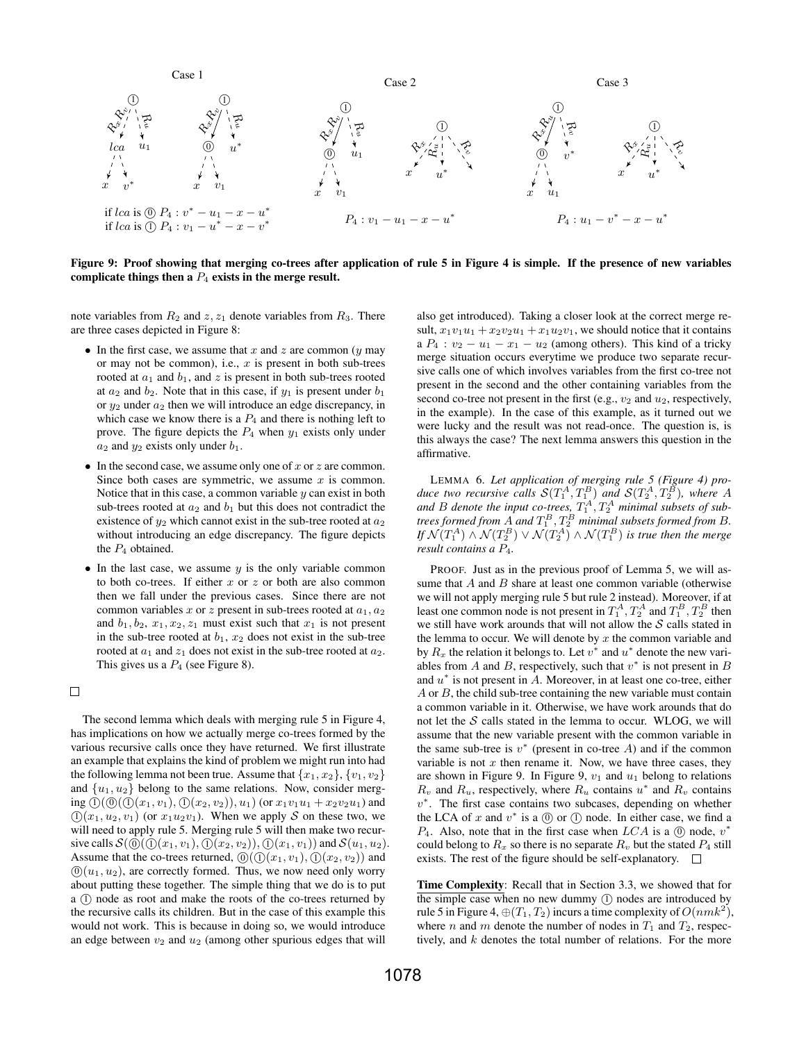

Figure 9: Proof showing that merging co-trees after application of rule 5 in Figure 4 is simple. If the presence of new variables complicate things then a  $P_4$  exists in the merge result.

note variables from  $R_2$  and  $z, z_1$  denote variables from  $R_3$ . There are three cases depicted in Figure 8:

- In the first case, we assume that x and z are common  $(y \text{ may } y)$ or may not be common), i.e.,  $x$  is present in both sub-trees rooted at  $a_1$  and  $b_1$ , and z is present in both sub-trees rooted at  $a_2$  and  $b_2$ . Note that in this case, if  $y_1$  is present under  $b_1$ or  $y_2$  under  $a_2$  then we will introduce an edge discrepancy, in which case we know there is a  $P_4$  and there is nothing left to prove. The figure depicts the  $P_4$  when  $y_1$  exists only under  $a_2$  and  $y_2$  exists only under  $b_1$ .
- In the second case, we assume only one of x or z are common. Since both cases are symmetric, we assume  $x$  is common. Notice that in this case, a common variable  $y$  can exist in both sub-trees rooted at  $a_2$  and  $b_1$  but this does not contradict the existence of  $y_2$  which cannot exist in the sub-tree rooted at  $a_2$ without introducing an edge discrepancy. The figure depicts the  $P_4$  obtained.
- In the last case, we assume  $y$  is the only variable common to both co-trees. If either  $x$  or  $z$  or both are also common then we fall under the previous cases. Since there are not common variables x or z present in sub-trees rooted at  $a_1, a_2$ and  $b_1, b_2, x_1, x_2, z_1$  must exist such that  $x_1$  is not present in the sub-tree rooted at  $b_1$ ,  $x_2$  does not exist in the sub-tree rooted at  $a_1$  and  $z_1$  does not exist in the sub-tree rooted at  $a_2$ . This gives us a  $P_4$  (see Figure 8).

 $\Box$ 

The second lemma which deals with merging rule 5 in Figure 4, has implications on how we actually merge co-trees formed by the various recursive calls once they have returned. We first illustrate an example that explains the kind of problem we might run into had the following lemma not been true. Assume that  $\{x_1, x_2\}, \{v_1, v_2\}$ and  $\{u_1, u_2\}$  belong to the same relations. Now, consider merging  $(0)$  ( $(0)$  ( $x_1, v_1$ ),  $(0)$  ( $x_2, v_2$ )),  $u_1$ ) (or  $x_1v_1u_1 + x_2v_2u_1$ ) and  $(1)(x_1, u_2, v_1)$  (or  $x_1u_2v_1$ ). When we apply S on these two, we will need to apply rule 5. Merging rule 5 will then make two recursive calls  $S(0)(0)(x_1, v_1), (0(x_2, v_2)), (0(x_1, v_1))$  and  $S(u_1, u_2)$ . Assume that the co-trees returned,  $(0)$  $(1)(x_1, v_1)$ ,  $(1)(x_2, v_2)$  and  $(0)(u_1, u_2)$ , are correctly formed. Thus, we now need only worry about putting these together. The simple thing that we do is to put a (1) node as root and make the roots of the co-trees returned by the recursive calls its children. But in the case of this example this would not work. This is because in doing so, we would introduce an edge between  $v_2$  and  $u_2$  (among other spurious edges that will

also get introduced). Taking a closer look at the correct merge result,  $x_1v_1u_1 + x_2v_2u_1 + x_1u_2v_1$ , we should notice that it contains a  $P_4$ :  $v_2 - u_1 - x_1 - u_2$  (among others). This kind of a tricky merge situation occurs everytime we produce two separate recursive calls one of which involves variables from the first co-tree not present in the second and the other containing variables from the second co-tree not present in the first (e.g.,  $v_2$  and  $u_2$ , respectively, in the example). In the case of this example, as it turned out we were lucky and the result was not read-once. The question is, is this always the case? The next lemma answers this question in the affirmative.

LEMMA 6. *Let application of merging rule 5 (Figure 4) pro*duce two recursive calls  $\mathcal{S}(T_1^A, T_1^B)$  and  $\mathcal{S}(T_2^A, T_2^B)$ , where A and B denote the input co-trees,  $T_1^A, T_2^A$  minimal subsets of subtrees formed from  $A$  and  $T_1^B, T_2^B$  minimal subsets formed from  $B$ . If  $\mathcal{N}(T_1^A) \wedge \mathcal{N}(T_2^B) \vee \mathcal{N}(T_2^A) \wedge \mathcal{N}(T_1^B)$  is true then the merge *result contains a* P4*.*

PROOF. Just as in the previous proof of Lemma 5, we will assume that  $A$  and  $B$  share at least one common variable (otherwise we will not apply merging rule 5 but rule 2 instead). Moreover, if at least one common node is not present in  $T_1^A$ ,  $T_2^A$  and  $T_1^B$ ,  $T_2^B$  then we still have work arounds that will not allow the  $S$  calls stated in the lemma to occur. We will denote by  $x$  the common variable and by  $R_x$  the relation it belongs to. Let  $v^*$  and  $u^*$  denote the new variables from  $A$  and  $B$ , respectively, such that  $v^*$  is not present in  $B$ and  $u^*$  is not present in  $\tilde{A}$ . Moreover, in at least one co-tree, either  $A$  or  $B$ , the child sub-tree containing the new variable must contain a common variable in it. Otherwise, we have work arounds that do not let the  $S$  calls stated in the lemma to occur. WLOG, we will assume that the new variable present with the common variable in the same sub-tree is  $v^*$  (present in co-tree A) and if the common variable is not  $x$  then rename it. Now, we have three cases, they are shown in Figure 9. In Figure 9,  $v_1$  and  $u_1$  belong to relations  $R_v$  and  $R_u$ , respectively, where  $R_u$  contains  $u^*$  and  $R_v$  contains v ∗ . The first case contains two subcases, depending on whether the LCA of  $x$  and  $v^*$  is a  $\circled{0}$  or  $\circled{1}$  node. In either case, we find a  $P_4$ . Also, note that in the first case when  $LCA$  is a  $\circled{0}$  node,  $v^*$ could belong to  $R_x$  so there is no separate  $R_y$  but the stated  $P_4$  still exists. The rest of the figure should be self-explanatory.  $\Box$ 

Time Complexity: Recall that in Section 3.3, we showed that for the simple case when no new dummy  $(1)$  nodes are introduced by rule 5 in Figure 4,  $\oplus(T_1,T_2)$  incurs a time complexity of  $O(nmk^2)$ , where *n* and *m* denote the number of nodes in  $T_1$  and  $T_2$ , respectively, and k denotes the total number of relations. For the more